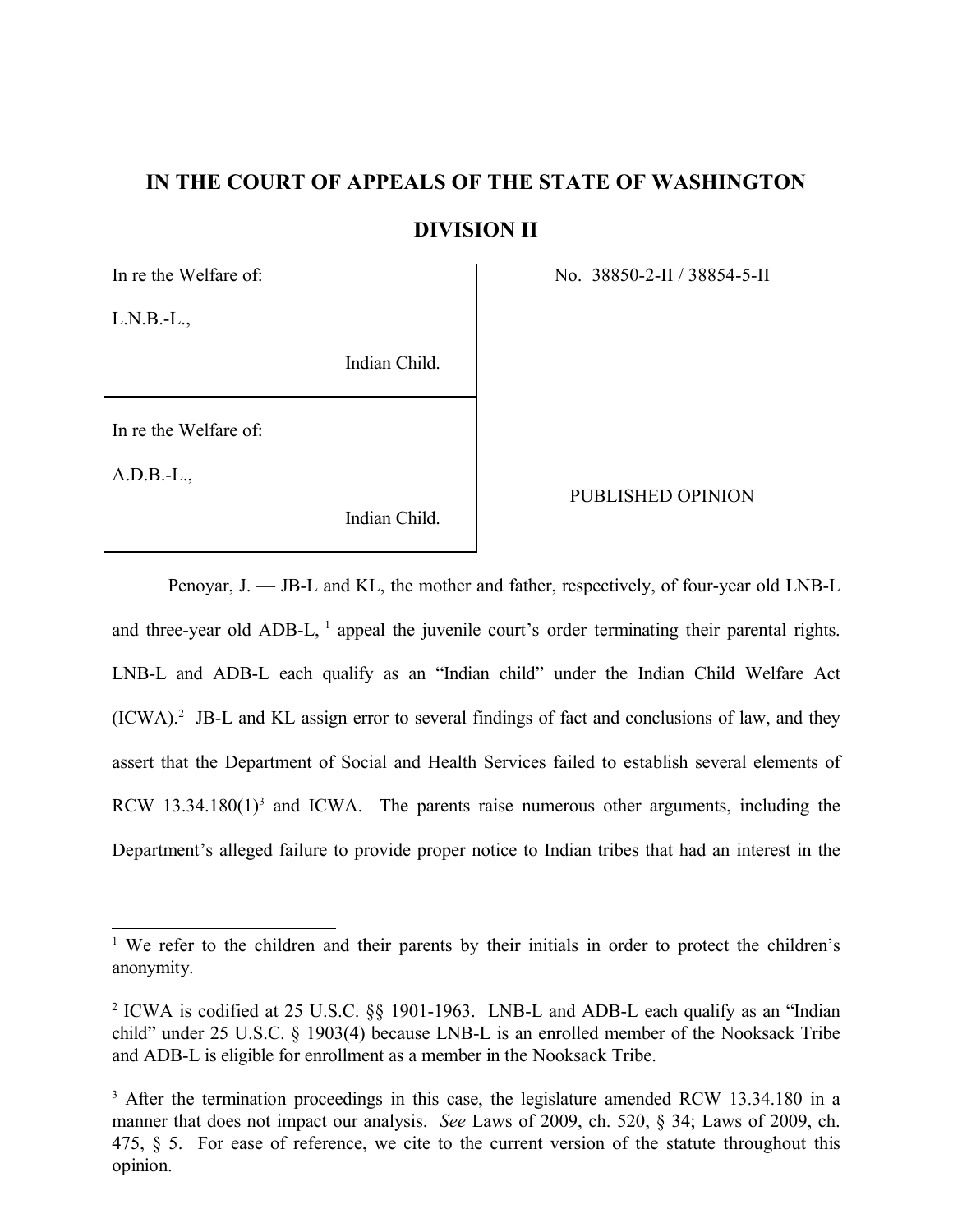# **IN THE COURT OF APPEALS OF THE STATE OF WASHINGTON DIVISION II**

 $L.N.B.-L.$ 

Indian Child.

In re the Welfare of:

A.D.B.-L.,

Indian Child.

In re the Welfare of: No. 38850-2-II / 38854-5-II

# PUBLISHED OPINION

Penoyar, J. — JB-L and KL, the mother and father, respectively, of four-year old LNB-L and three-year old ADB-L, <sup>1</sup> appeal the juvenile court's order terminating their parental rights. LNB-L and ADB-L each qualify as an "Indian child" under the Indian Child Welfare Act  $(ICWA).<sup>2</sup>$  JB-L and KL assign error to several findings of fact and conclusions of law, and they assert that the Department of Social and Health Services failed to establish several elements of RCW  $13.34.180(1)^3$  and ICWA. The parents raise numerous other arguments, including the Department's alleged failure to provide proper notice to Indian tribes that had an interest in the

<sup>&</sup>lt;sup>1</sup> We refer to the children and their parents by their initials in order to protect the children's anonymity.

<sup>&</sup>lt;sup>2</sup> ICWA is codified at 25 U.S.C.  $\S$  1901-1963. LNB-L and ADB-L each qualify as an "Indian" child" under 25 U.S.C. § 1903(4) because LNB-L is an enrolled member of the Nooksack Tribe and ADB-L is eligible for enrollment as a member in the Nooksack Tribe.

<sup>&</sup>lt;sup>3</sup> After the termination proceedings in this case, the legislature amended RCW 13.34.180 in a manner that does not impact our analysis. *See* Laws of 2009, ch. 520, § 34; Laws of 2009, ch. 475, § 5. For ease of reference, we cite to the current version of the statute throughout this opinion.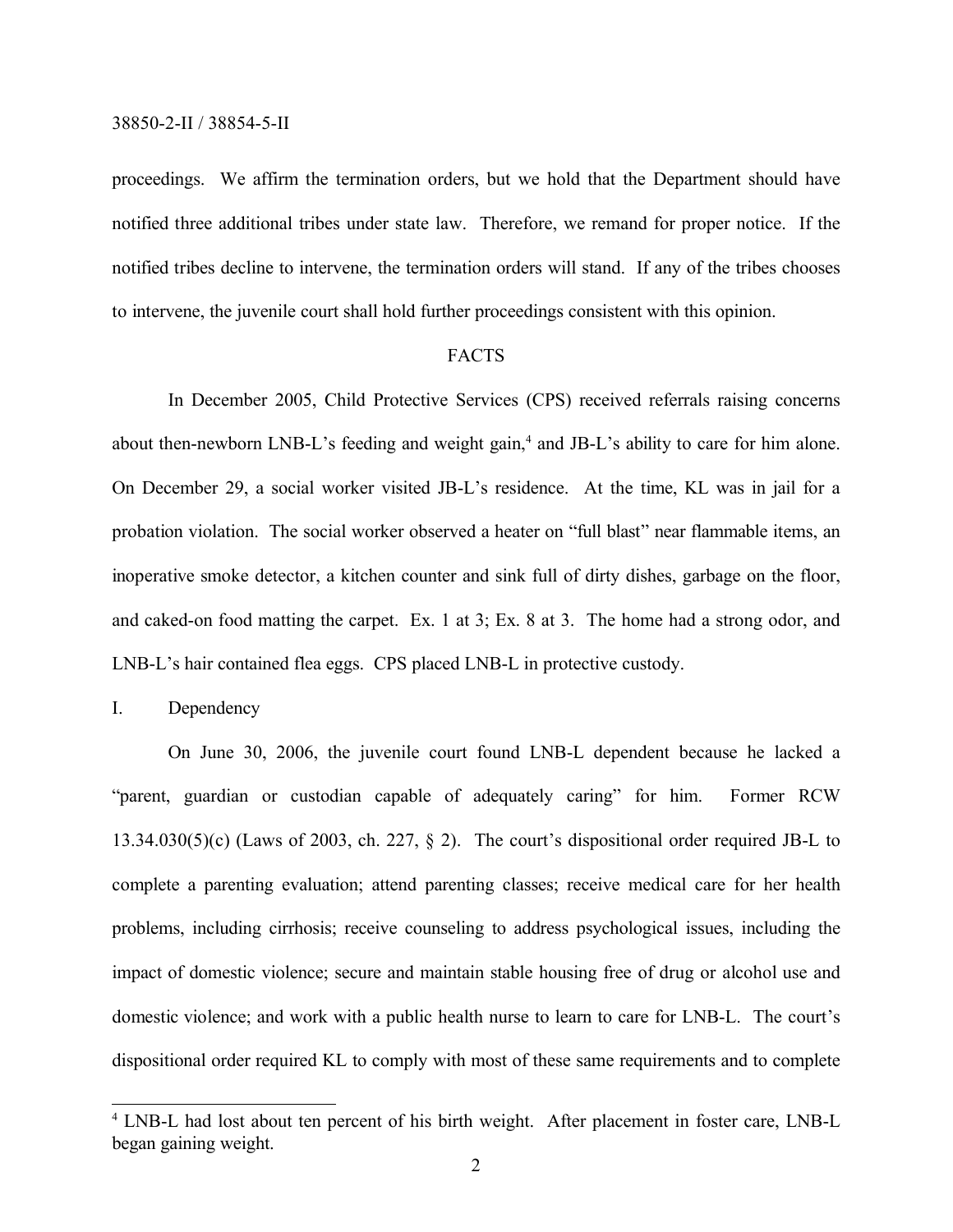proceedings. We affirm the termination orders, but we hold that the Department should have notified three additional tribes under state law. Therefore, we remand for proper notice. If the notified tribes decline to intervene, the termination orders will stand. If any of the tribes chooses to intervene, the juvenile court shall hold further proceedings consistent with this opinion.

#### FACTS

In December 2005, Child Protective Services (CPS) received referrals raising concerns about then-newborn LNB-L's feeding and weight gain,<sup>4</sup> and JB-L's ability to care for him alone. On December 29, a social worker visited JB-L's residence. At the time, KL was in jail for a probation violation. The social worker observed a heater on "full blast" near flammable items, an inoperative smoke detector, a kitchen counter and sink full of dirty dishes, garbage on the floor, and caked-on food matting the carpet. Ex. 1 at 3; Ex. 8 at 3. The home had a strong odor, and LNB-L's hair contained flea eggs. CPS placed LNB-L in protective custody.

I. Dependency

On June 30, 2006, the juvenile court found LNB-L dependent because he lacked a "parent, guardian or custodian capable of adequately caring" for him. Former RCW  $13.34.030(5)(c)$  (Laws of 2003, ch. 227, § 2). The court's dispositional order required JB-L to complete a parenting evaluation; attend parenting classes; receive medical care for her health problems, including cirrhosis; receive counseling to address psychological issues, including the impact of domestic violence; secure and maintain stable housing free of drug or alcohol use and domestic violence; and work with a public health nurse to learn to care for LNB-L. The court's dispositional order required KL to comply with most of these same requirements and to complete

<sup>&</sup>lt;sup>4</sup> LNB-L had lost about ten percent of his birth weight. After placement in foster care, LNB-L began gaining weight.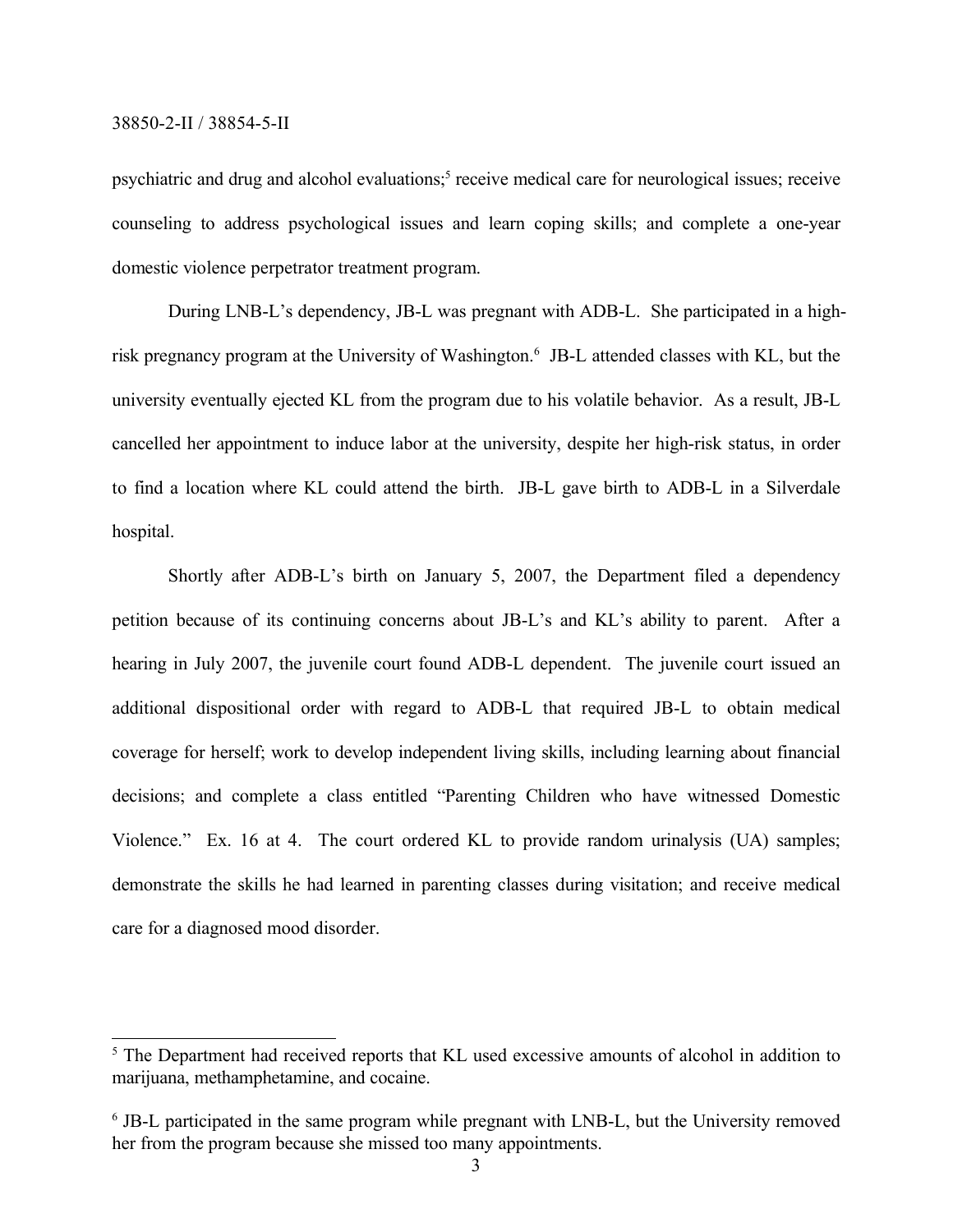psychiatric and drug and alcohol evaluations;<sup>5</sup> receive medical care for neurological issues; receive counseling to address psychological issues and learn coping skills; and complete a one-year domestic violence perpetrator treatment program.

During LNB-L's dependency, JB-L was pregnant with ADB-L. She participated in a highrisk pregnancy program at the University of Washington.<sup>6</sup> JB-L attended classes with KL, but the university eventually ejected KL from the program due to his volatile behavior. As a result, JB-L cancelled her appointment to induce labor at the university, despite her high-risk status, in order to find a location where KL could attend the birth. JB-L gave birth to ADB-L in a Silverdale hospital.

Shortly after ADB-L's birth on January 5, 2007, the Department filed a dependency petition because of its continuing concerns about JB-L's and KL's ability to parent. After a hearing in July 2007, the juvenile court found ADB-L dependent. The juvenile court issued an additional dispositional order with regard to ADB-L that required JB-L to obtain medical coverage for herself; work to develop independent living skills, including learning about financial decisions; and complete a class entitled "Parenting Children who have witnessed Domestic Violence." Ex. 16 at 4. The court ordered KL to provide random urinalysis (UA) samples; demonstrate the skills he had learned in parenting classes during visitation; and receive medical care for a diagnosed mood disorder.

<sup>&</sup>lt;sup>5</sup> The Department had received reports that KL used excessive amounts of alcohol in addition to marijuana, methamphetamine, and cocaine.

<sup>&</sup>lt;sup>6</sup> JB-L participated in the same program while pregnant with LNB-L, but the University removed her from the program because she missed too many appointments.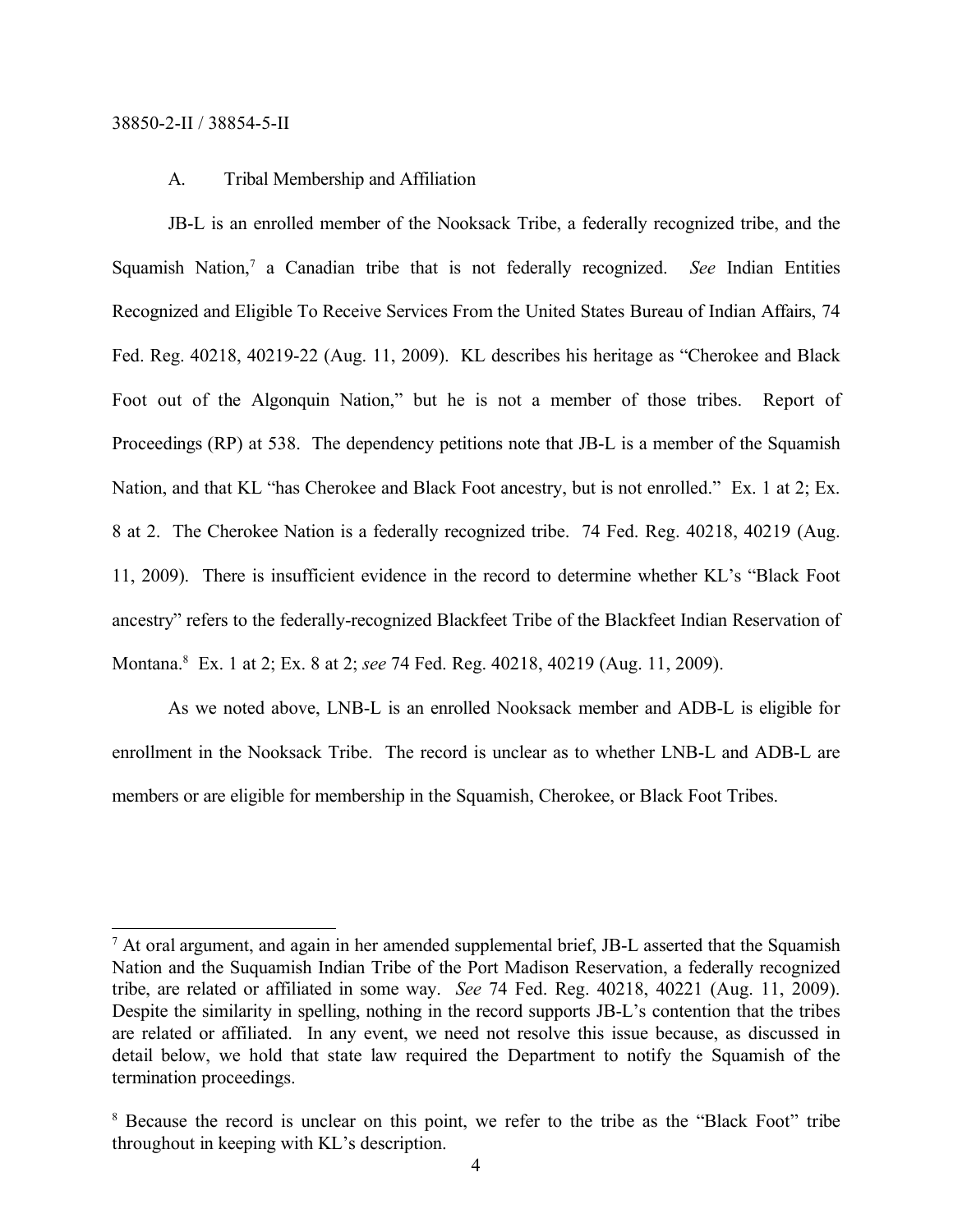# A. Tribal Membership and Affiliation

JB-L is an enrolled member of the Nooksack Tribe, a federally recognized tribe, and the Squamish Nation,<sup>7</sup> a Canadian tribe that is not federally recognized. See Indian Entities Recognized and Eligible To Receive Services From the United States Bureau of Indian Affairs, 74 Fed. Reg. 40218, 40219-22 (Aug. 11, 2009). KL describes his heritage as "Cherokee and Black Foot out of the Algonquin Nation," but he is not a member of those tribes. Report of Proceedings (RP) at 538. The dependency petitions note that JB-L is a member of the Squamish Nation, and that KL "has Cherokee and Black Foot ancestry, but is not enrolled." Ex. 1 at 2; Ex. 8 at 2. The Cherokee Nation is a federally recognized tribe. 74 Fed. Reg. 40218, 40219 (Aug. 11, 2009). There is insufficient evidence in the record to determine whether KL's "Black Foot ancestry" refers to the federally-recognized Blackfeet Tribe of the Blackfeet Indian Reservation of Montana.<sup>8</sup> Ex. 1 at 2; Ex. 8 at 2; *see* 74 Fed. Reg. 40218, 40219 (Aug. 11, 2009).

As we noted above, LNB-L is an enrolled Nooksack member and ADB-L is eligible for enrollment in the Nooksack Tribe. The record is unclear as to whether LNB-L and ADB-L are members or are eligible for membership in the Squamish, Cherokee, or Black Foot Tribes.

<sup>&</sup>lt;sup>7</sup> At oral argument, and again in her amended supplemental brief, JB-L asserted that the Squamish Nation and the Suquamish Indian Tribe of the Port Madison Reservation, a federally recognized tribe, are related or affiliated in some way. *See* 74 Fed. Reg. 40218, 40221 (Aug. 11, 2009). Despite the similarity in spelling, nothing in the record supports JB-L's contention that the tribes are related or affiliated. In any event, we need not resolve this issue because, as discussed in detail below, we hold that state law required the Department to notify the Squamish of the termination proceedings.

<sup>&</sup>lt;sup>8</sup> Because the record is unclear on this point, we refer to the tribe as the "Black Foot" tribe throughout in keeping with KL's description.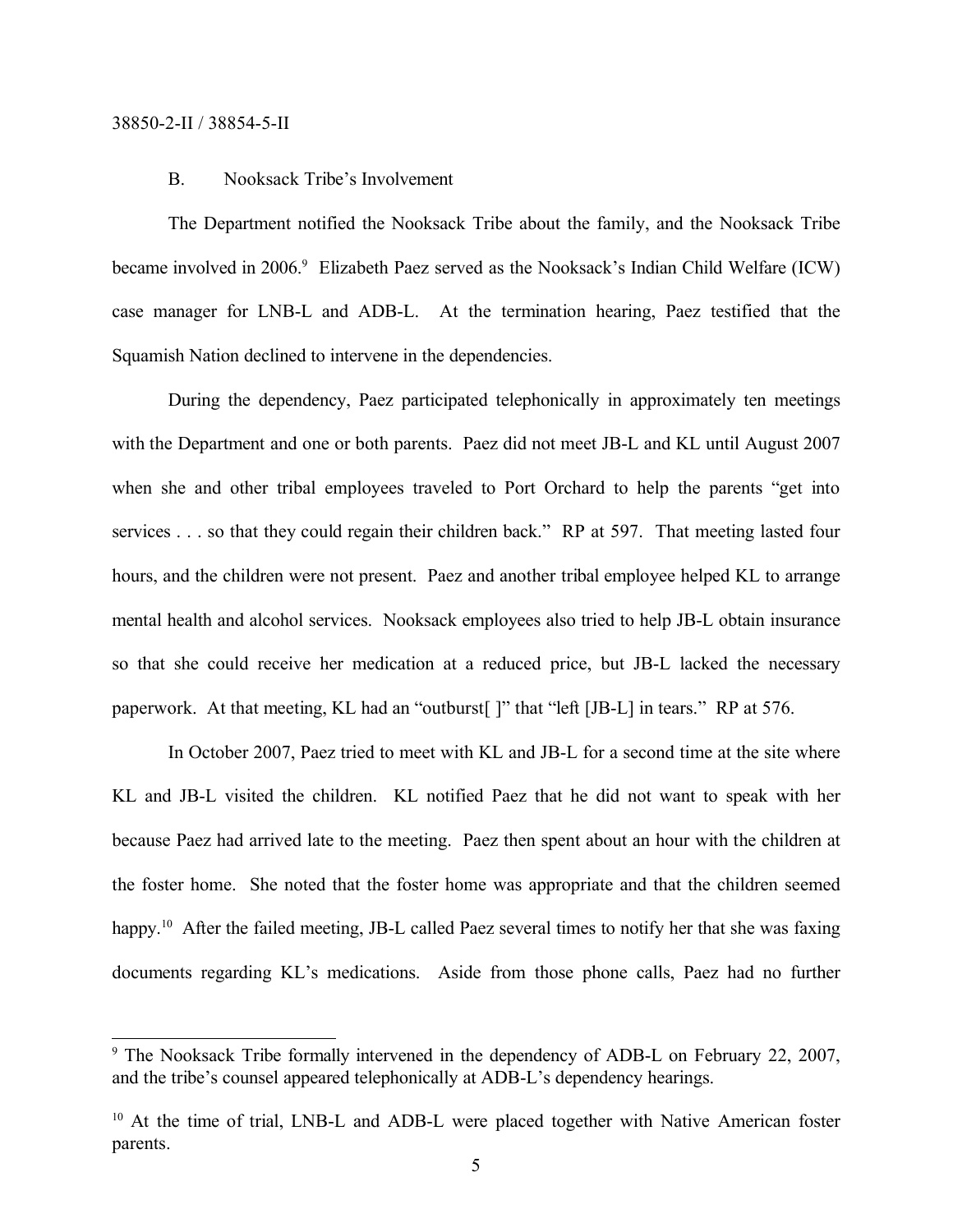# B. Nooksack Tribe's Involvement

The Department notified the Nooksack Tribe about the family, and the Nooksack Tribe became involved in 2006.<sup>9</sup> Elizabeth Paez served as the Nooksack's Indian Child Welfare (ICW) case manager for LNB-L and ADB-L. At the termination hearing, Paez testified that the Squamish Nation declined to intervene in the dependencies.

During the dependency, Paez participated telephonically in approximately ten meetings with the Department and one or both parents. Paez did not meet JB-L and KL until August 2007 when she and other tribal employees traveled to Port Orchard to help the parents "get into services . . . so that they could regain their children back." RP at 597. That meeting lasted four hours, and the children were not present. Paez and another tribal employee helped KL to arrange mental health and alcohol services. Nooksack employees also tried to help JB-L obtain insurance so that she could receive her medication at a reduced price, but JB-L lacked the necessary paperwork. At that meeting, KL had an "outburst[ ]" that "left [JB-L] in tears." RP at 576.

In October 2007, Paez tried to meet with KL and JB-L for a second time at the site where KL and JB-L visited the children. KL notified Paez that he did not want to speak with her because Paez had arrived late to the meeting. Paez then spent about an hour with the children at the foster home. She noted that the foster home was appropriate and that the children seemed happy.<sup>10</sup> After the failed meeting, JB-L called Paez several times to notify her that she was faxing documents regarding KL's medications. Aside from those phone calls, Paez had no further

<sup>&</sup>lt;sup>9</sup> The Nooksack Tribe formally intervened in the dependency of ADB-L on February 22, 2007, and the tribe's counsel appeared telephonically at ADB-L's dependency hearings.

<sup>&</sup>lt;sup>10</sup> At the time of trial, LNB-L and ADB-L were placed together with Native American foster parents.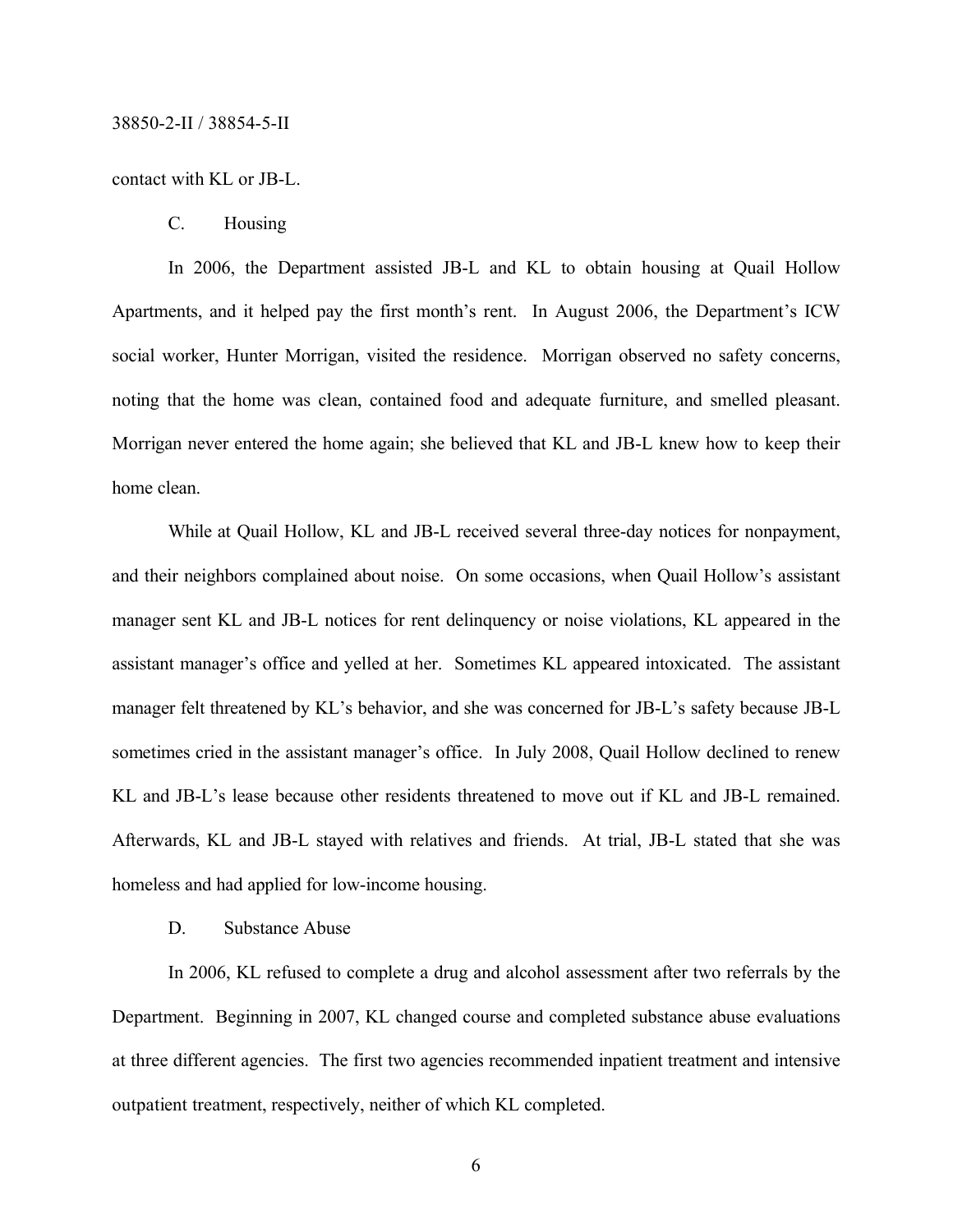# contact with KL or JB-L.

C. Housing

In 2006, the Department assisted JB-L and KL to obtain housing at Quail Hollow Apartments, and it helped pay the first month's rent. In August 2006, the Department's ICW social worker, Hunter Morrigan, visited the residence. Morrigan observed no safety concerns, noting that the home was clean, contained food and adequate furniture, and smelled pleasant. Morrigan never entered the home again; she believed that KL and JB-L knew how to keep their home clean.

While at Quail Hollow, KL and JB-L received several three-day notices for nonpayment, and their neighbors complained about noise. On some occasions, when Quail Hollow's assistant manager sent KL and JB-L notices for rent delinquency or noise violations, KL appeared in the assistant manager's office and yelled at her. Sometimes KL appeared intoxicated. The assistant manager felt threatened by KL's behavior, and she was concerned for JB-L's safety because JB-L sometimes cried in the assistant manager's office. In July 2008, Quail Hollow declined to renew KL and JB-L's lease because other residents threatened to move out if KL and JB-L remained. Afterwards, KL and JB-L stayed with relatives and friends. At trial, JB-L stated that she was homeless and had applied for low-income housing.

D. Substance Abuse

In 2006, KL refused to complete a drug and alcohol assessment after two referrals by the Department. Beginning in 2007, KL changed course and completed substance abuse evaluations at three different agencies. The first two agencies recommended inpatient treatment and intensive outpatient treatment, respectively, neither of which KL completed.

6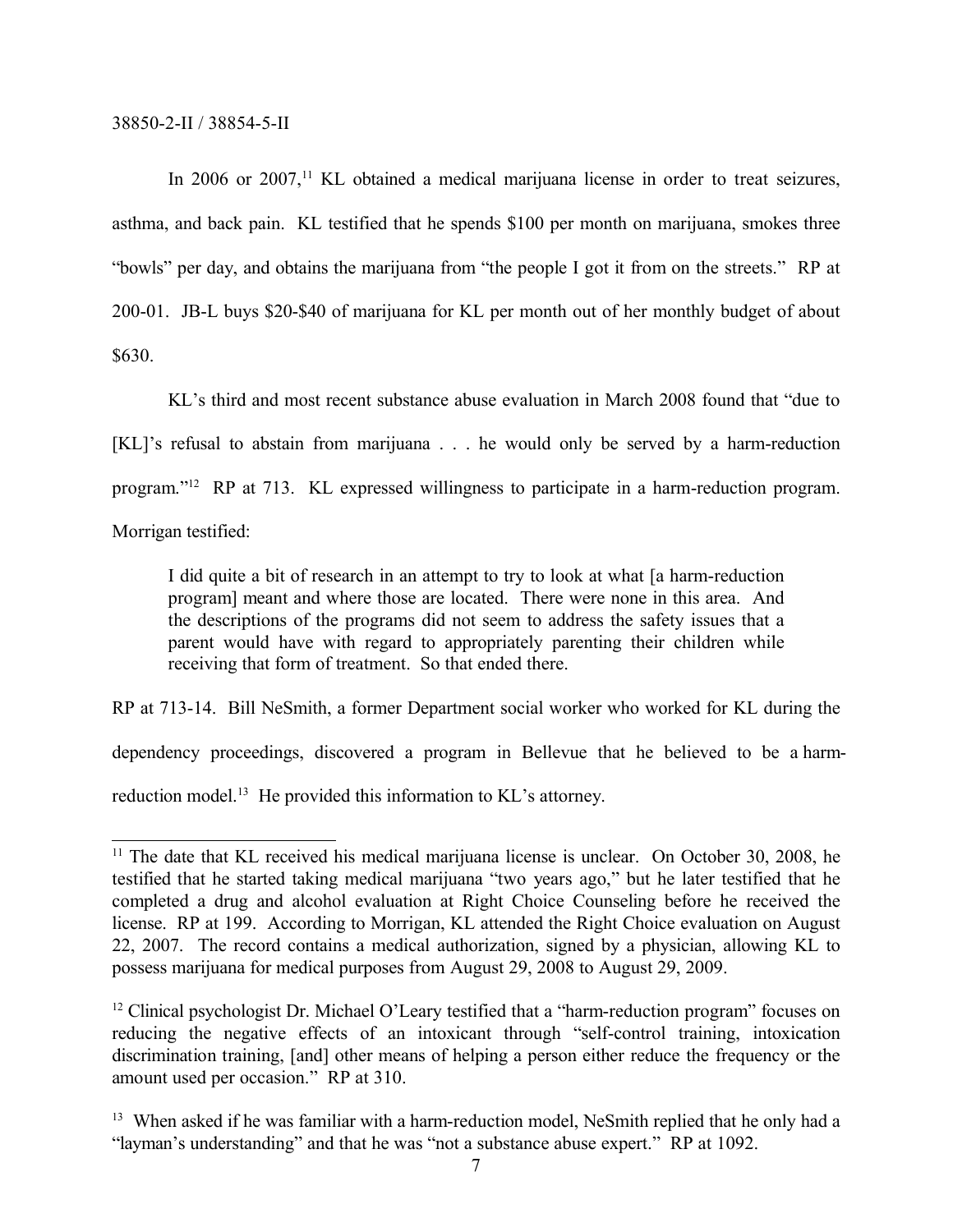In 2006 or 2007,<sup>11</sup> KL obtained a medical marijuana license in order to treat seizures, asthma, and back pain. KL testified that he spends \$100 per month on marijuana, smokes three "bowls" per day, and obtains the marijuana from "the people I got it from on the streets." RP at 200-01. JB-L buys \$20-\$40 of marijuana for KL per month out of her monthly budget of about \$630.

KL's third and most recent substance abuse evaluation in March 2008 found that "due to [KL]'s refusal to abstain from marijuana . . . he would only be served by a harm-reduction program." <sup>12</sup> RP at 713. KL expressed willingness to participate in a harm-reduction program. Morrigan testified:

I did quite a bit of research in an attempt to try to look at what [a harm-reduction program] meant and where those are located. There were none in this area. And the descriptions of the programs did not seem to address the safety issues that a parent would have with regard to appropriately parenting their children while receiving that form of treatment. So that ended there.

RP at 713-14. Bill NeSmith, a former Department social worker who worked for KL during the dependency proceedings, discovered a program in Bellevue that he believed to be a harmreduction model.<sup>13</sup> He provided this information to KL's attorney.

 $11$  The date that KL received his medical marijuana license is unclear. On October 30, 2008, he testified that he started taking medical marijuana "two years ago," but he later testified that he completed a drug and alcohol evaluation at Right Choice Counseling before he received the license. RP at 199. According to Morrigan, KL attended the Right Choice evaluation on August 22, 2007. The record contains a medical authorization, signed by a physician, allowing KL to possess marijuana for medical purposes from August 29, 2008 to August 29, 2009.

<sup>&</sup>lt;sup>12</sup> Clinical psychologist Dr. Michael O'Leary testified that a "harm-reduction program" focuses on reducing the negative effects of an intoxicant through "self-control training, intoxication discrimination training, [and] other means of helping a person either reduce the frequency or the amount used per occasion." RP at 310.

<sup>&</sup>lt;sup>13</sup> When asked if he was familiar with a harm-reduction model, NeSmith replied that he only had a "layman's understanding" and that he was "not a substance abuse expert." RP at 1092.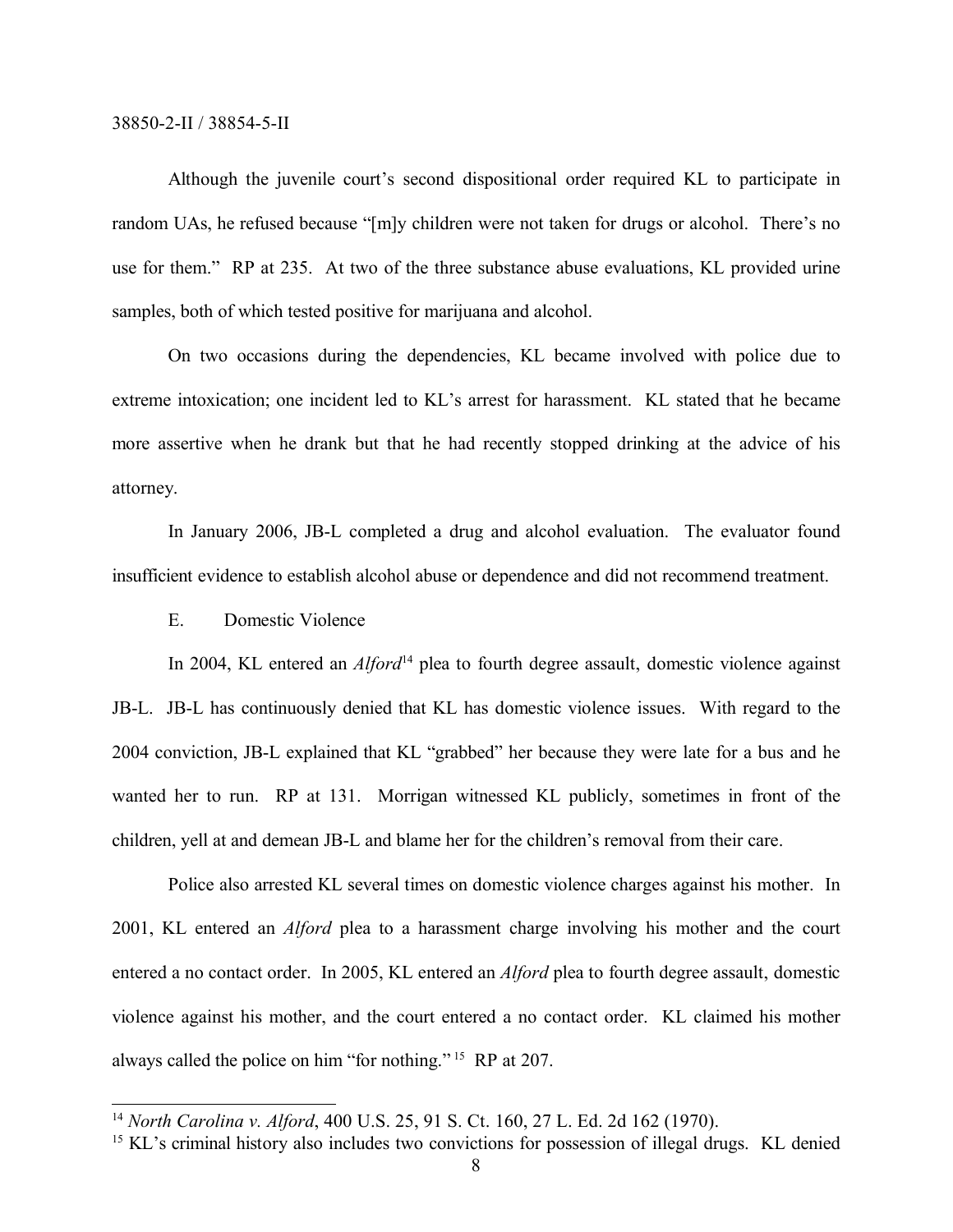Although the juvenile court's second dispositional order required KL to participate in random UAs, he refused because "[m]y children were not taken for drugs or alcohol. There's no use for them." RP at 235. At two of the three substance abuse evaluations, KL provided urine samples, both of which tested positive for marijuana and alcohol.

On two occasions during the dependencies, KL became involved with police due to extreme intoxication; one incident led to KL's arrest for harassment. KL stated that he became more assertive when he drank but that he had recently stopped drinking at the advice of his attorney.

In January 2006, JB-L completed a drug and alcohol evaluation. The evaluator found insufficient evidence to establish alcohol abuse or dependence and did not recommend treatment.

E. Domestic Violence

In 2004, KL entered an *Alford*<sup>14</sup> plea to fourth degree assault, domestic violence against JB-L. JB-L has continuously denied that KL has domestic violence issues. With regard to the 2004 conviction, JB-L explained that KL "grabbed" her because they were late for a bus and he wanted her to run. RP at 131. Morrigan witnessed KL publicly, sometimes in front of the children, yell at and demean JB-L and blame her for the children's removal from their care.

Police also arrested KL several times on domestic violence charges against his mother. In 2001, KL entered an *Alford* plea to a harassment charge involving his mother and the court entered a no contact order. In 2005, KL entered an *Alford* plea to fourth degree assault, domestic violence against his mother, and the court entered a no contact order. KL claimed his mother always called the police on him "for nothing." <sup>15</sup> RP at 207.

<sup>14</sup> *North Carolina v. Alford*, 400 U.S. 25, 91 S. Ct. 160, 27 L. Ed. 2d 162 (1970).

<sup>&</sup>lt;sup>15</sup> KL's criminal history also includes two convictions for possession of illegal drugs. KL denied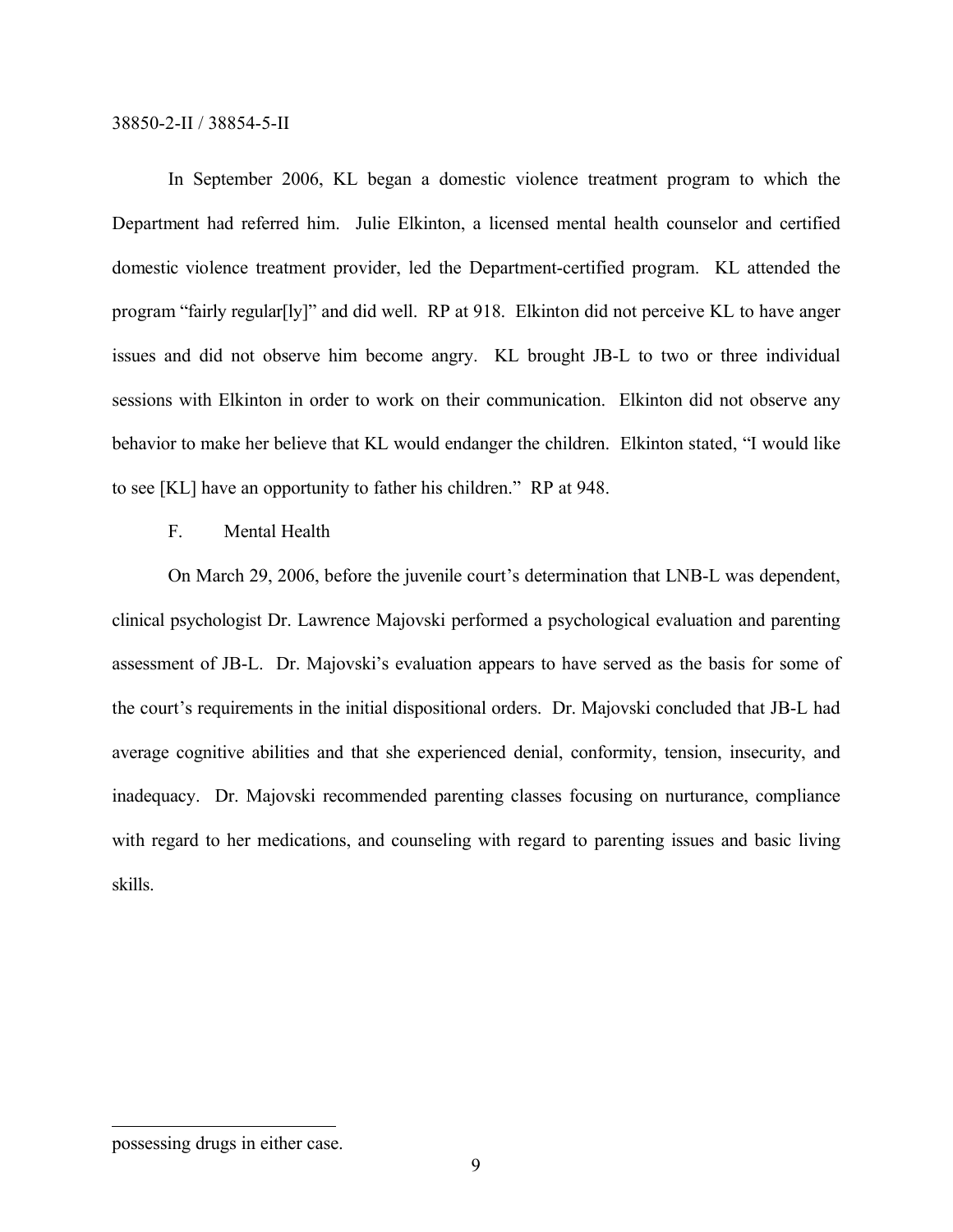In September 2006, KL began a domestic violence treatment program to which the Department had referred him. Julie Elkinton, a licensed mental health counselor and certified domestic violence treatment provider, led the Department-certified program. KL attended the program "fairly regular[ly]" and did well. RP at 918. Elkinton did not perceive KL to have anger issues and did not observe him become angry. KL brought JB-L to two or three individual sessions with Elkinton in order to work on their communication. Elkinton did not observe any behavior to make her believe that KL would endanger the children. Elkinton stated, "I would like to see [KL] have an opportunity to father his children." RP at 948.

# F. Mental Health

On March 29, 2006, before the juvenile court's determination that LNB-L was dependent, clinical psychologist Dr. Lawrence Majovski performed a psychological evaluation and parenting assessment of JB-L. Dr. Majovski's evaluation appears to have served as the basis for some of the court's requirements in the initial dispositional orders. Dr. Majovski concluded that JB-L had average cognitive abilities and that she experienced denial, conformity, tension, insecurity, and inadequacy. Dr. Majovski recommended parenting classes focusing on nurturance, compliance with regard to her medications, and counseling with regard to parenting issues and basic living skills.

possessing drugs in either case.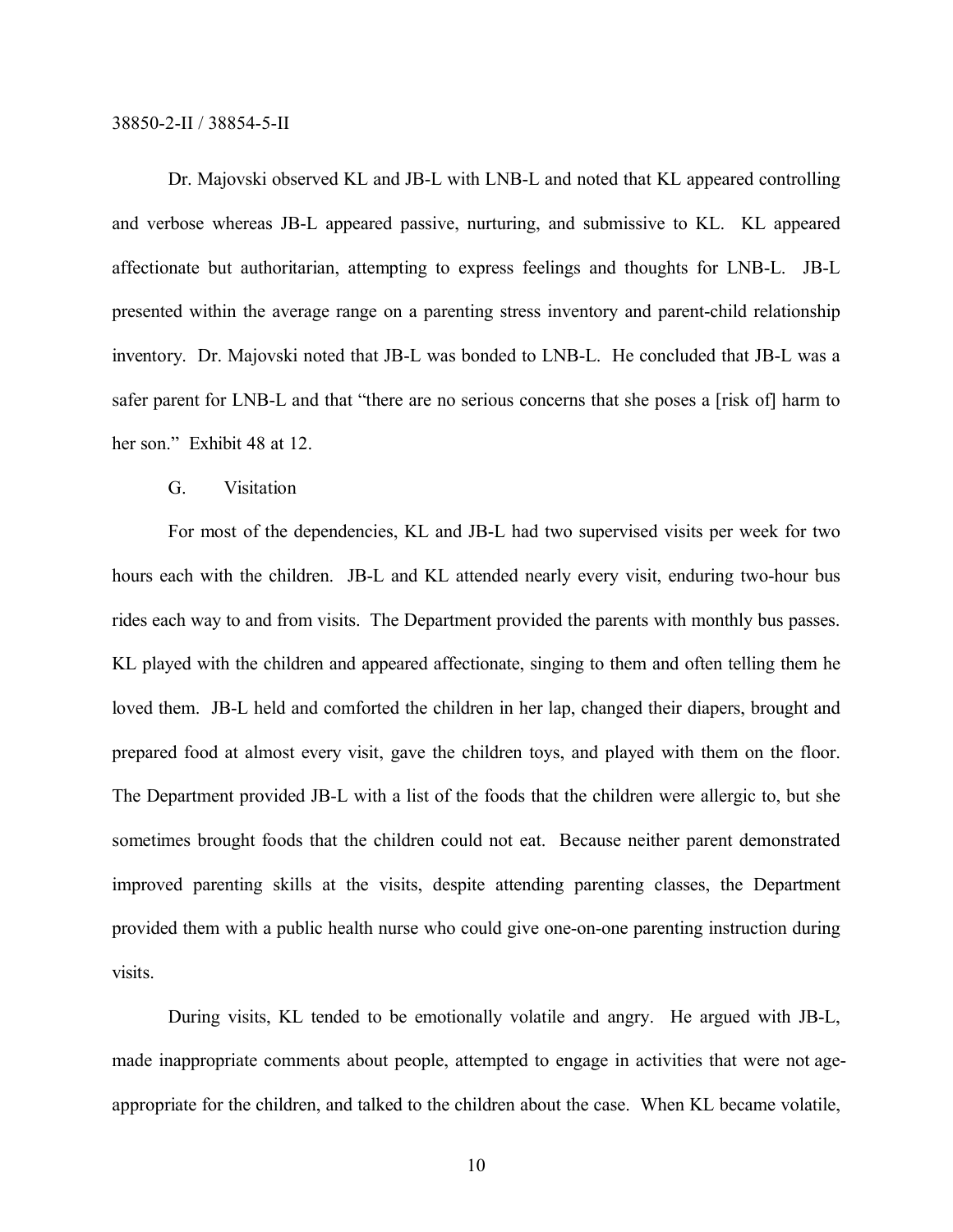Dr. Majovski observed KL and JB-L with LNB-L and noted that KL appeared controlling and verbose whereas JB-L appeared passive, nurturing, and submissive to KL. KL appeared affectionate but authoritarian, attempting to express feelings and thoughts for LNB-L. JB-L presented within the average range on a parenting stress inventory and parent-child relationship inventory. Dr. Majovski noted that JB-L was bonded to LNB-L. He concluded that JB-L was a safer parent for LNB-L and that "there are no serious concerns that she poses a [risk of] harm to her son." Exhibit 48 at 12.

# G. Visitation

For most of the dependencies, KL and JB-L had two supervised visits per week for two hours each with the children. JB-L and KL attended nearly every visit, enduring two-hour bus rides each way to and from visits. The Department provided the parents with monthly bus passes. KL played with the children and appeared affectionate, singing to them and often telling them he loved them. JB-L held and comforted the children in her lap, changed their diapers, brought and prepared food at almost every visit, gave the children toys, and played with them on the floor. The Department provided JB-L with a list of the foods that the children were allergic to, but she sometimes brought foods that the children could not eat. Because neither parent demonstrated improved parenting skills at the visits, despite attending parenting classes, the Department provided them with a public health nurse who could give one-on-one parenting instruction during visits.

During visits, KL tended to be emotionally volatile and angry. He argued with JB-L, made inappropriate comments about people, attempted to engage in activities that were not ageappropriate for the children, and talked to the children about the case. When KL became volatile,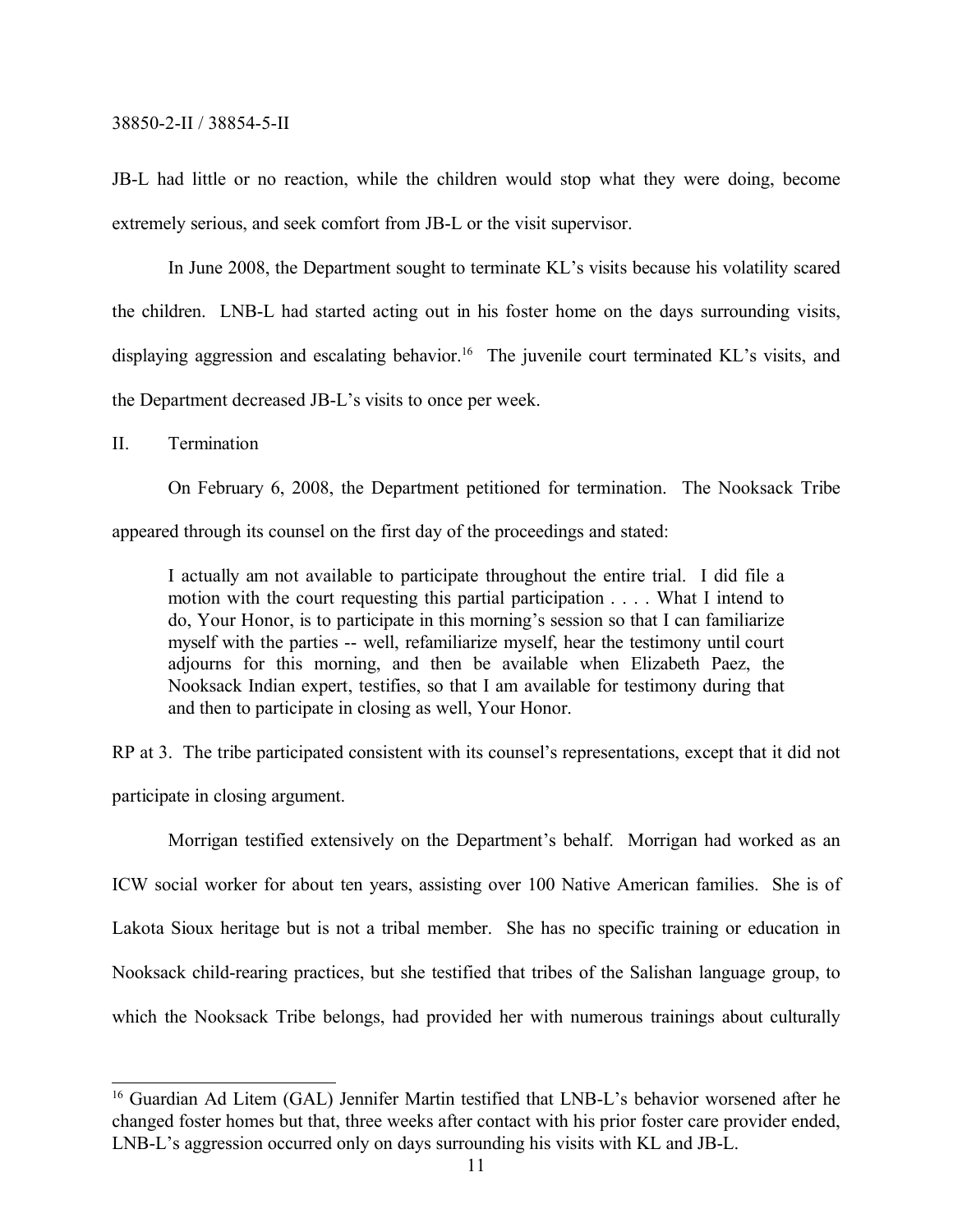JB-L had little or no reaction, while the children would stop what they were doing, become extremely serious, and seek comfort from JB-L or the visit supervisor.

In June 2008, the Department sought to terminate KL's visits because his volatility scared the children. LNB-L had started acting out in his foster home on the days surrounding visits, displaying aggression and escalating behavior.<sup>16</sup> The juvenile court terminated KL's visits, and the Department decreased JB-L's visits to once per week.

II. Termination

On February 6, 2008, the Department petitioned for termination. The Nooksack Tribe

appeared through its counsel on the first day of the proceedings and stated:

I actually am not available to participate throughout the entire trial. I did file a motion with the court requesting this partial participation . . . . What I intend to do, Your Honor, is to participate in this morning's session so that I can familiarize myself with the parties -- well, refamiliarize myself, hear the testimony until court adjourns for this morning, and then be available when Elizabeth Paez, the Nooksack Indian expert, testifies, so that I am available for testimony during that and then to participate in closing as well, Your Honor.

RP at 3. The tribe participated consistent with its counsel's representations, except that it did not participate in closing argument.

Morrigan testified extensively on the Department's behalf. Morrigan had worked as an ICW social worker for about ten years, assisting over 100 Native American families. She is of Lakota Sioux heritage but is not a tribal member. She has no specific training or education in Nooksack child-rearing practices, but she testified that tribes of the Salishan language group, to which the Nooksack Tribe belongs, had provided her with numerous trainings about culturally

<sup>&</sup>lt;sup>16</sup> Guardian Ad Litem (GAL) Jennifer Martin testified that LNB-L's behavior worsened after he changed foster homes but that, three weeks after contact with his prior foster care provider ended, LNB-L's aggression occurred only on days surrounding his visits with KL and JB-L.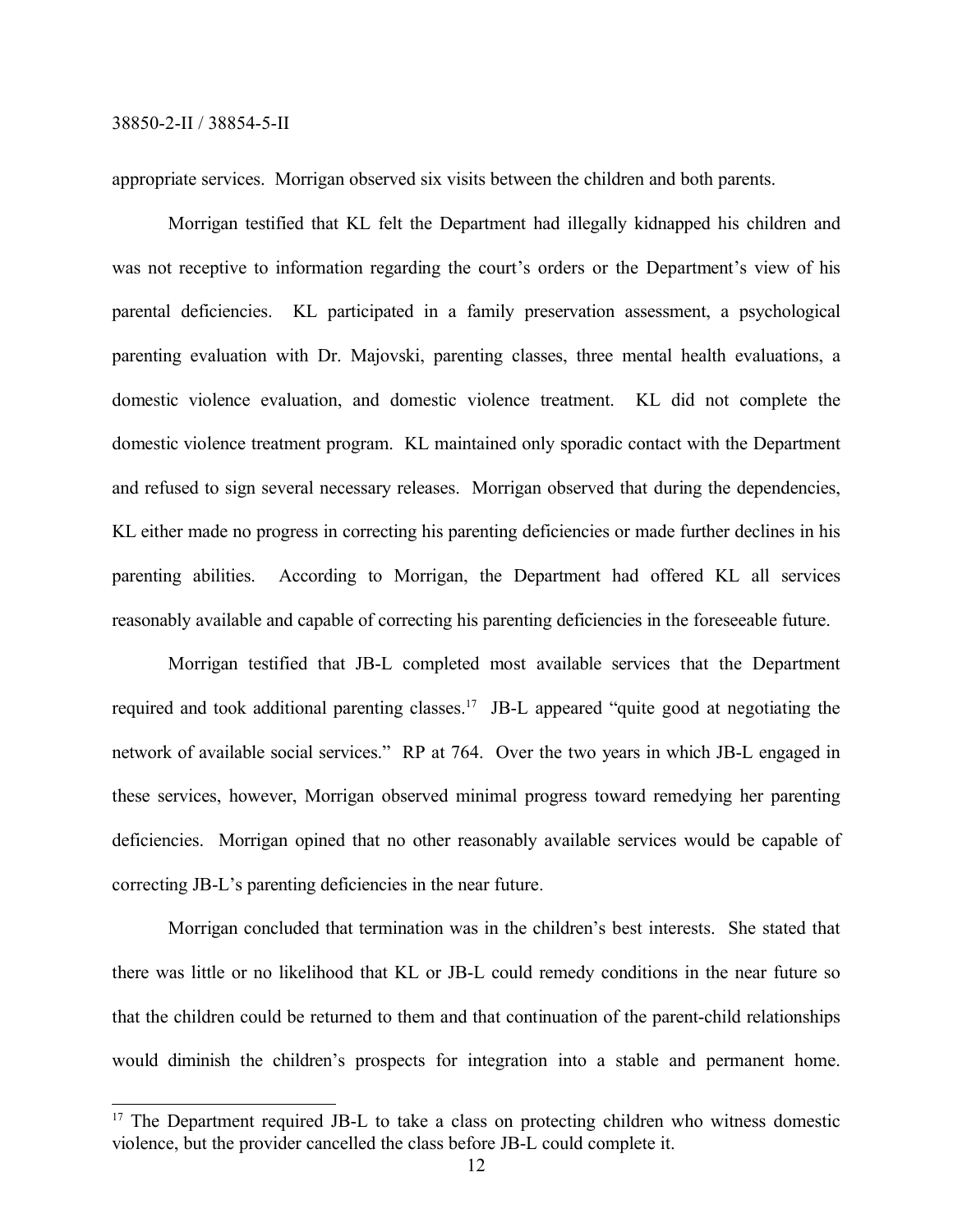appropriate services. Morrigan observed six visits between the children and both parents.

Morrigan testified that KL felt the Department had illegally kidnapped his children and was not receptive to information regarding the court's orders or the Department's view of his parental deficiencies. KL participated in a family preservation assessment, a psychological parenting evaluation with Dr. Majovski, parenting classes, three mental health evaluations, a domestic violence evaluation, and domestic violence treatment. KL did not complete the domestic violence treatment program. KL maintained only sporadic contact with the Department and refused to sign several necessary releases. Morrigan observed that during the dependencies, KL either made no progress in correcting his parenting deficiencies or made further declines in his parenting abilities. According to Morrigan, the Department had offered KL all services reasonably available and capable of correcting his parenting deficiencies in the foreseeable future.

Morrigan testified that JB-L completed most available services that the Department required and took additional parenting classes.<sup>17</sup> JB-L appeared "quite good at negotiating the network of available social services." RP at 764. Over the two years in which JB-L engaged in these services, however, Morrigan observed minimal progress toward remedying her parenting deficiencies. Morrigan opined that no other reasonably available services would be capable of correcting JB-L's parenting deficiencies in the near future.

Morrigan concluded that termination was in the children's best interests. She stated that there was little or no likelihood that KL or JB-L could remedy conditions in the near future so that the children could be returned to them and that continuation of the parent-child relationships would diminish the children's prospects for integration into a stable and permanent home.

<sup>&</sup>lt;sup>17</sup> The Department required JB-L to take a class on protecting children who witness domestic violence, but the provider cancelled the class before JB-L could complete it.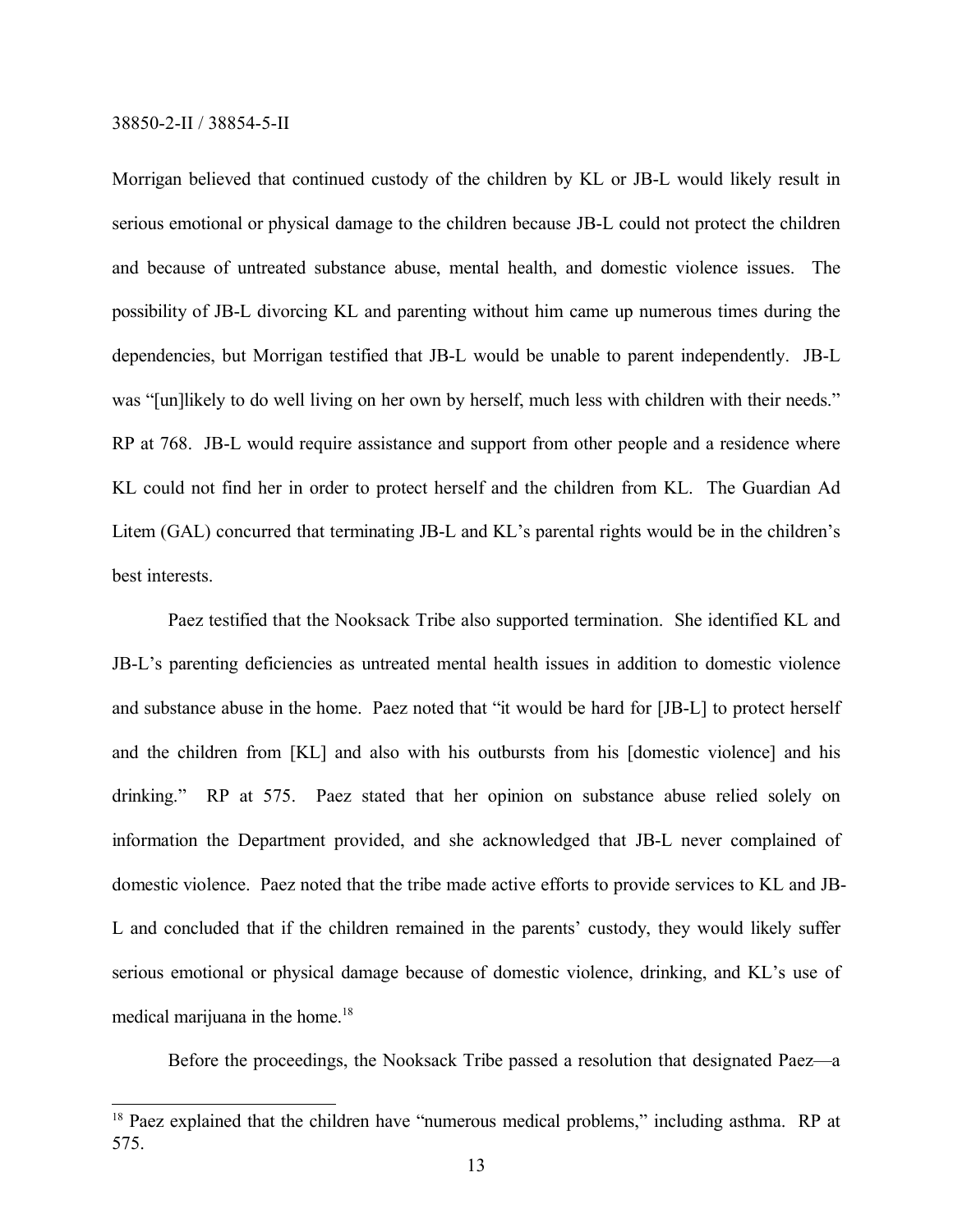Morrigan believed that continued custody of the children by KL or JB-L would likely result in serious emotional or physical damage to the children because JB-L could not protect the children and because of untreated substance abuse, mental health, and domestic violence issues. The possibility of JB-L divorcing KL and parenting without him came up numerous times during the dependencies, but Morrigan testified that JB-L would be unable to parent independently. JB-L was "[un]likely to do well living on her own by herself, much less with children with their needs." RP at 768. JB-L would require assistance and support from other people and a residence where KL could not find her in order to protect herself and the children from KL. The Guardian Ad Litem (GAL) concurred that terminating JB-L and KL's parental rights would be in the children's best interests.

Paez testified that the Nooksack Tribe also supported termination. She identified KL and JB-L's parenting deficiencies as untreated mental health issues in addition to domestic violence and substance abuse in the home. Paez noted that "it would be hard for [JB-L] to protect herself and the children from [KL] and also with his outbursts from his [domestic violence] and his drinking." RP at 575. Paez stated that her opinion on substance abuse relied solely on information the Department provided, and she acknowledged that JB-L never complained of domestic violence. Paez noted that the tribe made active efforts to provide services to KL and JB-L and concluded that if the children remained in the parents' custody, they would likely suffer serious emotional or physical damage because of domestic violence, drinking, and KL's use of medical marijuana in the home.<sup>18</sup>

Before the proceedings, the Nooksack Tribe passed a resolution that designated Paez—a

<sup>&</sup>lt;sup>18</sup> Paez explained that the children have "numerous medical problems," including asthma. RP at 575.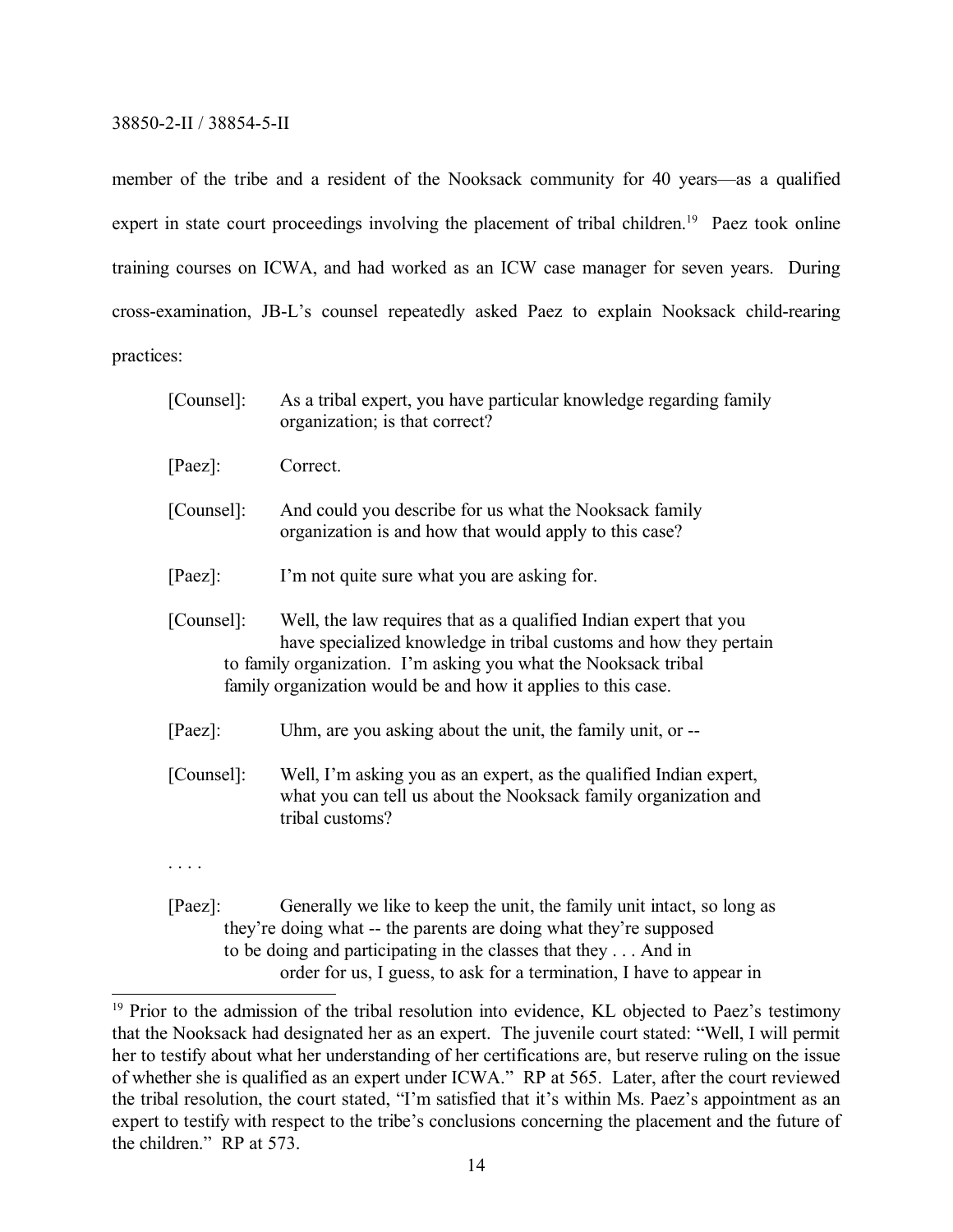member of the tribe and a resident of the Nooksack community for 40 years—as a qualified expert in state court proceedings involving the placement of tribal children.<sup>19</sup> Paez took online training courses on ICWA, and had worked as an ICW case manager for seven years. During cross-examination, JB-L's counsel repeatedly asked Paez to explain Nooksack child-rearing practices:

| [Counsel]: | As a tribal expert, you have particular knowledge regarding family<br>organization; is that correct?                                                                                                                                                                       |
|------------|----------------------------------------------------------------------------------------------------------------------------------------------------------------------------------------------------------------------------------------------------------------------------|
| $[Paez]$ : | Correct.                                                                                                                                                                                                                                                                   |
| [Counsel]: | And could you describe for us what the Nooksack family<br>organization is and how that would apply to this case?                                                                                                                                                           |
| $[Paez]$ : | I'm not quite sure what you are asking for.                                                                                                                                                                                                                                |
| [Counsel]: | Well, the law requires that as a qualified Indian expert that you<br>have specialized knowledge in tribal customs and how they pertain<br>to family organization. I'm asking you what the Nooksack tribal<br>family organization would be and how it applies to this case. |
| $[Paez]$ : | Uhm, are you asking about the unit, the family unit, or --                                                                                                                                                                                                                 |
| [Counsel]: | Well, I'm asking you as an expert, as the qualified Indian expert,<br>what you can tell us about the Nooksack family organization and<br>tribal customs?                                                                                                                   |
|            |                                                                                                                                                                                                                                                                            |
| $[Paez]$ : | Generally we like to keep the unit, the family unit intact, so long as<br>they're doing what -- the parents are doing what they're supposed                                                                                                                                |

they're doing what -- the parents are doing what they're supposed to be doing and participating in the classes that they . . . And in order for us, I guess, to ask for a termination, I have to appear in

<sup>&</sup>lt;sup>19</sup> Prior to the admission of the tribal resolution into evidence, KL objected to Paez's testimony that the Nooksack had designated her as an expert. The juvenile court stated: "Well, I will permit her to testify about what her understanding of her certifications are, but reserve ruling on the issue of whether she is qualified as an expert under ICWA." RP at 565. Later, after the court reviewed the tribal resolution, the court stated, "I'm satisfied that it's within Ms. Paez's appointment as an expert to testify with respect to the tribe's conclusions concerning the placement and the future of the children." RP at 573.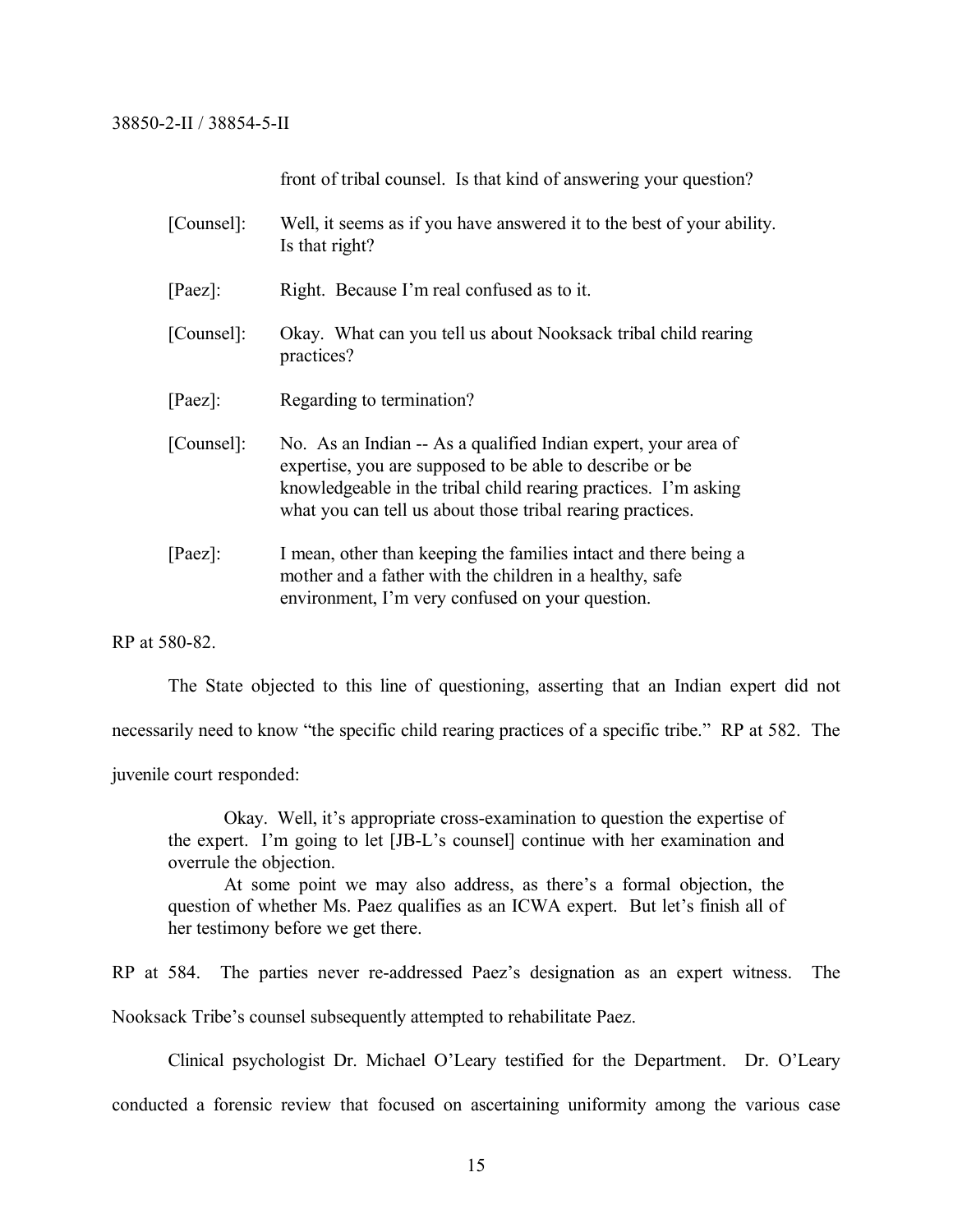front of tribal counsel. Is that kind of answering your question?

| [Counsel]: | Well, it seems as if you have answered it to the best of your ability.<br>Is that right?                                                                                                                                                                     |
|------------|--------------------------------------------------------------------------------------------------------------------------------------------------------------------------------------------------------------------------------------------------------------|
| $[Paez]$ : | Right. Because I'm real confused as to it.                                                                                                                                                                                                                   |
| [Counsel]: | Okay. What can you tell us about Nooksack tribal child rearing<br>practices?                                                                                                                                                                                 |
| $[Paez]$ : | Regarding to termination?                                                                                                                                                                                                                                    |
| [Counsel]: | No. As an Indian -- As a qualified Indian expert, your area of<br>expertise, you are supposed to be able to describe or be.<br>knowledgeable in the tribal child rearing practices. I'm asking<br>what you can tell us about those tribal rearing practices. |
| $[Paez]$ : | I mean, other than keeping the families intact and there being a<br>mother and a father with the children in a healthy, safe<br>environment, I'm very confused on your question.                                                                             |

RP at 580-82.

The State objected to this line of questioning, asserting that an Indian expert did not

necessarily need to know "the specific child rearing practices of a specific tribe." RP at 582. The

juvenile court responded:

Okay. Well, it's appropriate cross-examination to question the expertise of the expert. I'm going to let [JB-L's counsel] continue with her examination and overrule the objection.

At some point we may also address, as there's a formal objection, the question of whether Ms. Paez qualifies as an ICWA expert. But let's finish all of her testimony before we get there.

RP at 584. The parties never re-addressed Paez's designation as an expert witness. The Nooksack Tribe's counsel subsequently attempted to rehabilitate Paez.

Clinical psychologist Dr. Michael O'Leary testified for the Department. Dr. O'Leary

conducted a forensic review that focused on ascertaining uniformity among the various case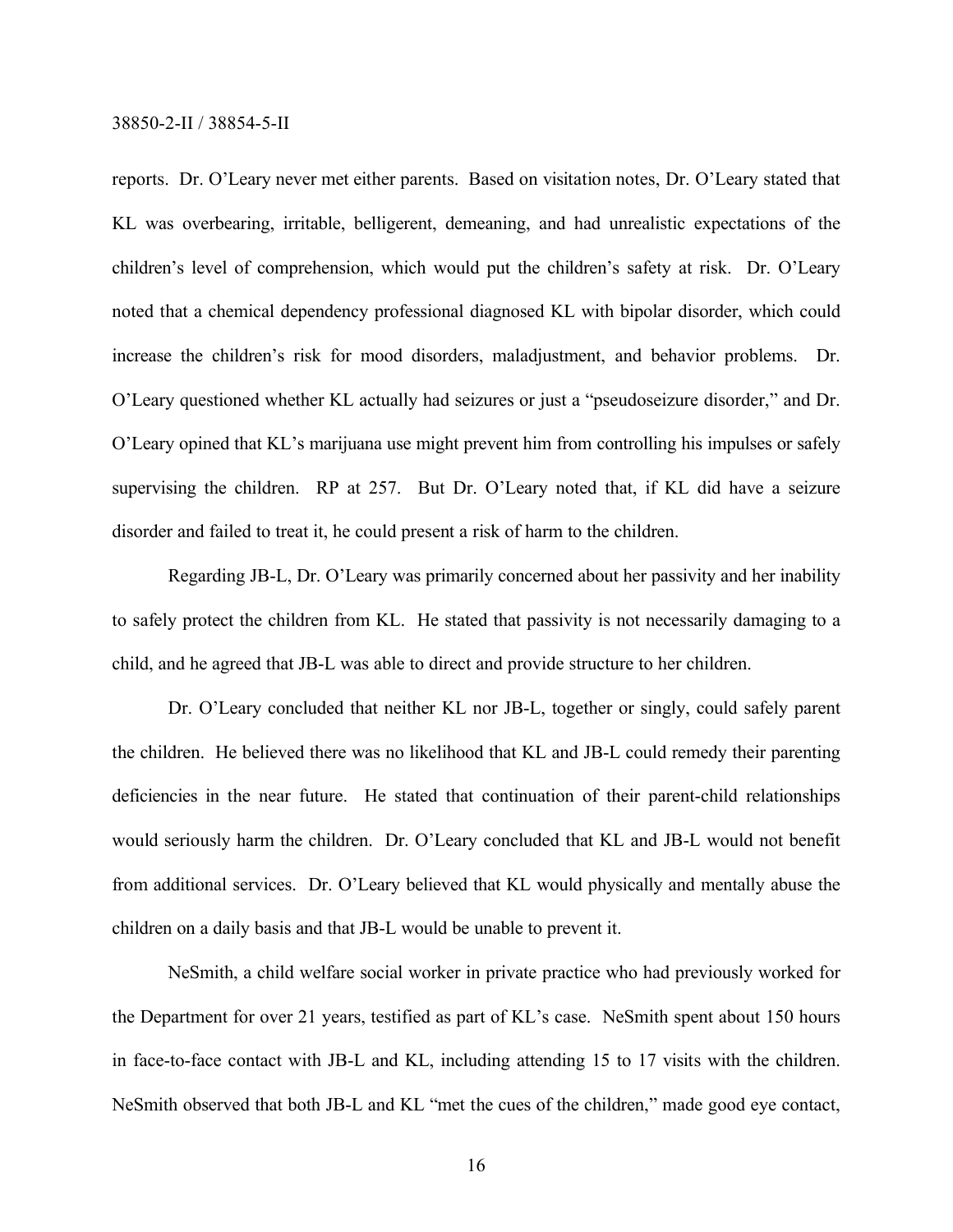reports. Dr. O'Leary never met either parents. Based on visitation notes, Dr. O'Leary stated that KL was overbearing, irritable, belligerent, demeaning, and had unrealistic expectations of the children's level of comprehension, which would put the children's safety at risk. Dr. O'Leary noted that a chemical dependency professional diagnosed KL with bipolar disorder, which could increase the children's risk for mood disorders, maladjustment, and behavior problems. Dr. O'Leary questioned whether KL actually had seizures or just a "pseudoseizure disorder," and Dr. O'Leary opined that KL's marijuana use might prevent him from controlling his impulses or safely supervising the children. RP at 257. But Dr. O'Leary noted that, if KL did have a seizure disorder and failed to treat it, he could present a risk of harm to the children.

Regarding JB-L, Dr. O'Leary was primarily concerned about her passivity and her inability to safely protect the children from KL. He stated that passivity is not necessarily damaging to a child, and he agreed that JB-L was able to direct and provide structure to her children.

Dr. O'Leary concluded that neither KL nor JB-L, together or singly, could safely parent the children. He believed there was no likelihood that KL and JB-L could remedy their parenting deficiencies in the near future. He stated that continuation of their parent-child relationships would seriously harm the children. Dr. O'Leary concluded that KL and JB-L would not benefit from additional services. Dr. O'Leary believed that KL would physically and mentally abuse the children on a daily basis and that JB-L would be unable to prevent it.

NeSmith, a child welfare social worker in private practice who had previously worked for the Department for over 21 years, testified as part of KL's case. NeSmith spent about 150 hours in face-to-face contact with JB-L and KL, including attending 15 to 17 visits with the children. NeSmith observed that both JB-L and KL "met the cues of the children," made good eye contact,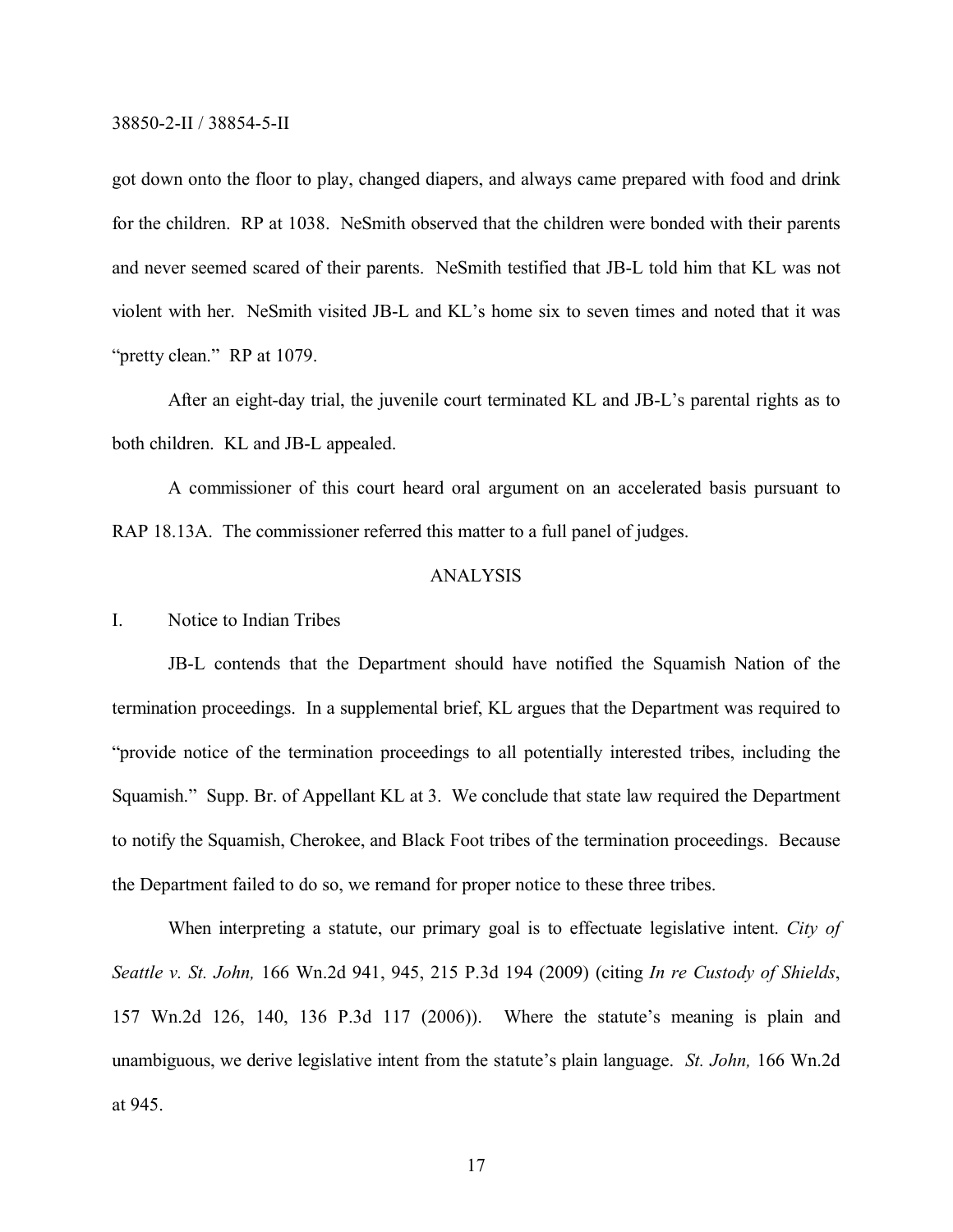got down onto the floor to play, changed diapers, and always came prepared with food and drink for the children. RP at 1038. NeSmith observed that the children were bonded with their parents and never seemed scared of their parents. NeSmith testified that JB-L told him that KL was not violent with her. NeSmith visited JB-L and KL's home six to seven times and noted that it was "pretty clean." RP at 1079.

After an eight-day trial, the juvenile court terminated KL and JB-L's parental rights as to both children. KL and JB-L appealed.

A commissioner of this court heard oral argument on an accelerated basis pursuant to RAP 18.13A. The commissioner referred this matter to a full panel of judges.

# ANALYSIS

## I. Notice to Indian Tribes

JB-L contends that the Department should have notified the Squamish Nation of the termination proceedings. In a supplemental brief, KL argues that the Department was required to "provide notice of the termination proceedings to all potentially interested tribes, including the Squamish." Supp. Br. of Appellant KL at 3. We conclude that state law required the Department to notify the Squamish, Cherokee, and Black Foot tribes of the termination proceedings. Because the Department failed to do so, we remand for proper notice to these three tribes.

When interpreting a statute, our primary goal is to effectuate legislative intent. *City of Seattle v. St. John,* 166 Wn.2d 941, 945, 215 P.3d 194 (2009) (citing *In re Custody of Shields*, 157 Wn.2d 126, 140, 136 P.3d 117 (2006)). Where the statute's meaning is plain and unambiguous, we derive legislative intent from the statute's plain language. *St. John,* 166 Wn.2d at 945.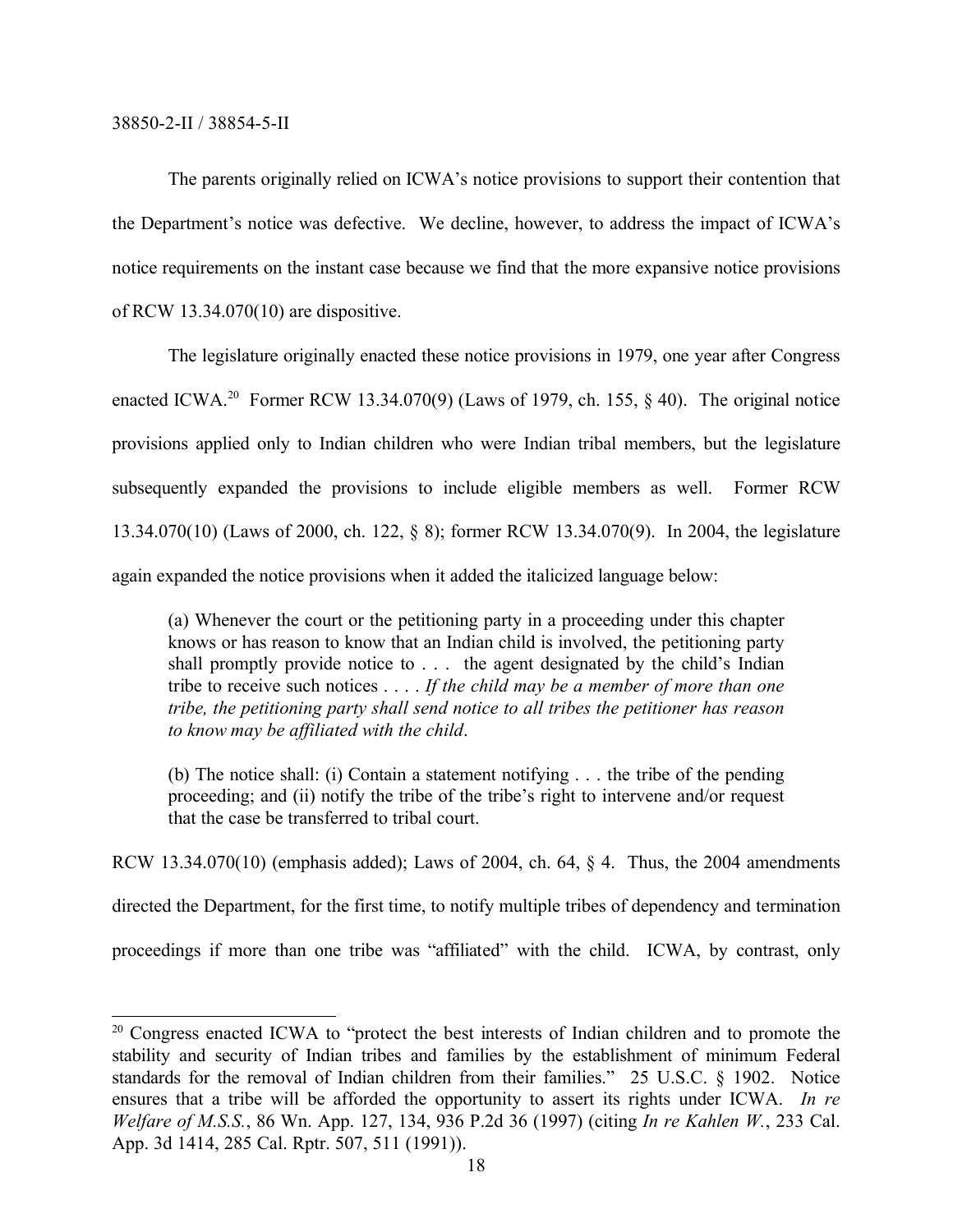The parents originally relied on ICWA's notice provisions to support their contention that the Department's notice was defective. We decline, however, to address the impact of ICWA's notice requirements on the instant case because we find that the more expansive notice provisions of RCW 13.34.070(10) are dispositive.

The legislature originally enacted these notice provisions in 1979, one year after Congress enacted ICWA.<sup>20</sup> Former RCW 13.34.070(9) (Laws of 1979, ch. 155,  $\S$  40). The original notice provisions applied only to Indian children who were Indian tribal members, but the legislature subsequently expanded the provisions to include eligible members as well. Former RCW 13.34.070(10) (Laws of 2000, ch. 122, § 8); former RCW 13.34.070(9). In 2004, the legislature again expanded the notice provisions when it added the italicized language below:

(a) Whenever the court or the petitioning party in a proceeding under this chapter knows or has reason to know that an Indian child is involved, the petitioning party shall promptly provide notice to . . . the agent designated by the child's Indian tribe to receive such notices . . . . *If the child may be a member of more than one tribe, the petitioning party shall send notice to all tribes the petitioner has reason to know may be affiliated with the child*.

(b) The notice shall: (i) Contain a statement notifying . . . the tribe of the pending proceeding; and (ii) notify the tribe of the tribe's right to intervene and/or request that the case be transferred to tribal court.

RCW 13.34.070(10) (emphasis added); Laws of 2004, ch. 64, § 4. Thus, the 2004 amendments directed the Department, for the first time, to notify multiple tribes of dependency and termination proceedings if more than one tribe was "affiliated" with the child. ICWA, by contrast, only

<sup>&</sup>lt;sup>20</sup> Congress enacted ICWA to "protect the best interests of Indian children and to promote the stability and security of Indian tribes and families by the establishment of minimum Federal standards for the removal of Indian children from their families." 25 U.S.C. § 1902. Notice ensures that a tribe will be afforded the opportunity to assert its rights under ICWA. *In re Welfare of M.S.S.*, 86 Wn. App. 127, 134, 936 P.2d 36 (1997) (citing *In re Kahlen W.*, 233 Cal. App. 3d 1414, 285 Cal. Rptr. 507, 511 (1991)).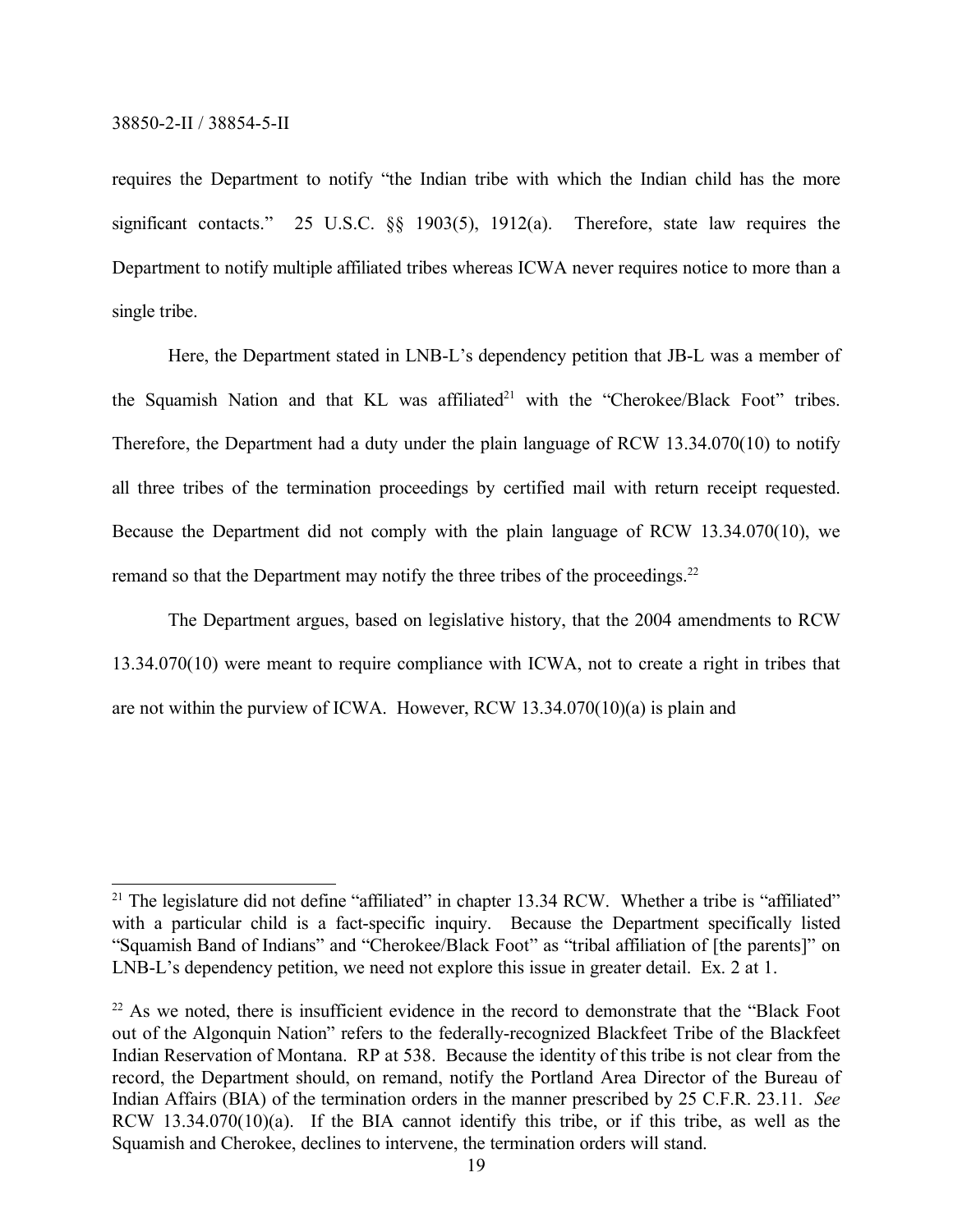requires the Department to notify "the Indian tribe with which the Indian child has the more significant contacts." 25 U.S.C.  $\S$  1903(5), 1912(a). Therefore, state law requires the Department to notify multiple affiliated tribes whereas ICWA never requires notice to more than a single tribe.

Here, the Department stated in LNB-L's dependency petition that JB-L was a member of the Squamish Nation and that KL was affiliated<sup>21</sup> with the "Cherokee/Black Foot" tribes. Therefore, the Department had a duty under the plain language of RCW 13.34.070(10) to notify all three tribes of the termination proceedings by certified mail with return receipt requested. Because the Department did not comply with the plain language of RCW 13.34.070(10), we remand so that the Department may notify the three tribes of the proceedings.<sup>22</sup>

The Department argues, based on legislative history, that the 2004 amendments to RCW 13.34.070(10) were meant to require compliance with ICWA, not to create a right in tribes that are not within the purview of ICWA. However, RCW 13.34.070(10)(a) is plain and

<sup>&</sup>lt;sup>21</sup> The legislature did not define "affiliated" in chapter 13.34 RCW. Whether a tribe is "affiliated" with a particular child is a fact-specific inquiry. Because the Department specifically listed "Squamish Band of Indians" and "Cherokee/Black Foot" as "tribal affiliation of [the parents]" on LNB-L's dependency petition, we need not explore this issue in greater detail. Ex. 2 at 1.

<sup>&</sup>lt;sup>22</sup> As we noted, there is insufficient evidence in the record to demonstrate that the "Black Foot" out of the Algonquin Nation" refers to the federally-recognized Blackfeet Tribe of the Blackfeet Indian Reservation of Montana. RP at 538. Because the identity of this tribe is not clear from the record, the Department should, on remand, notify the Portland Area Director of the Bureau of Indian Affairs (BIA) of the termination orders in the manner prescribed by 25 C.F.R. 23.11. *See*  RCW 13.34.070(10)(a). If the BIA cannot identify this tribe, or if this tribe, as well as the Squamish and Cherokee, declines to intervene, the termination orders will stand.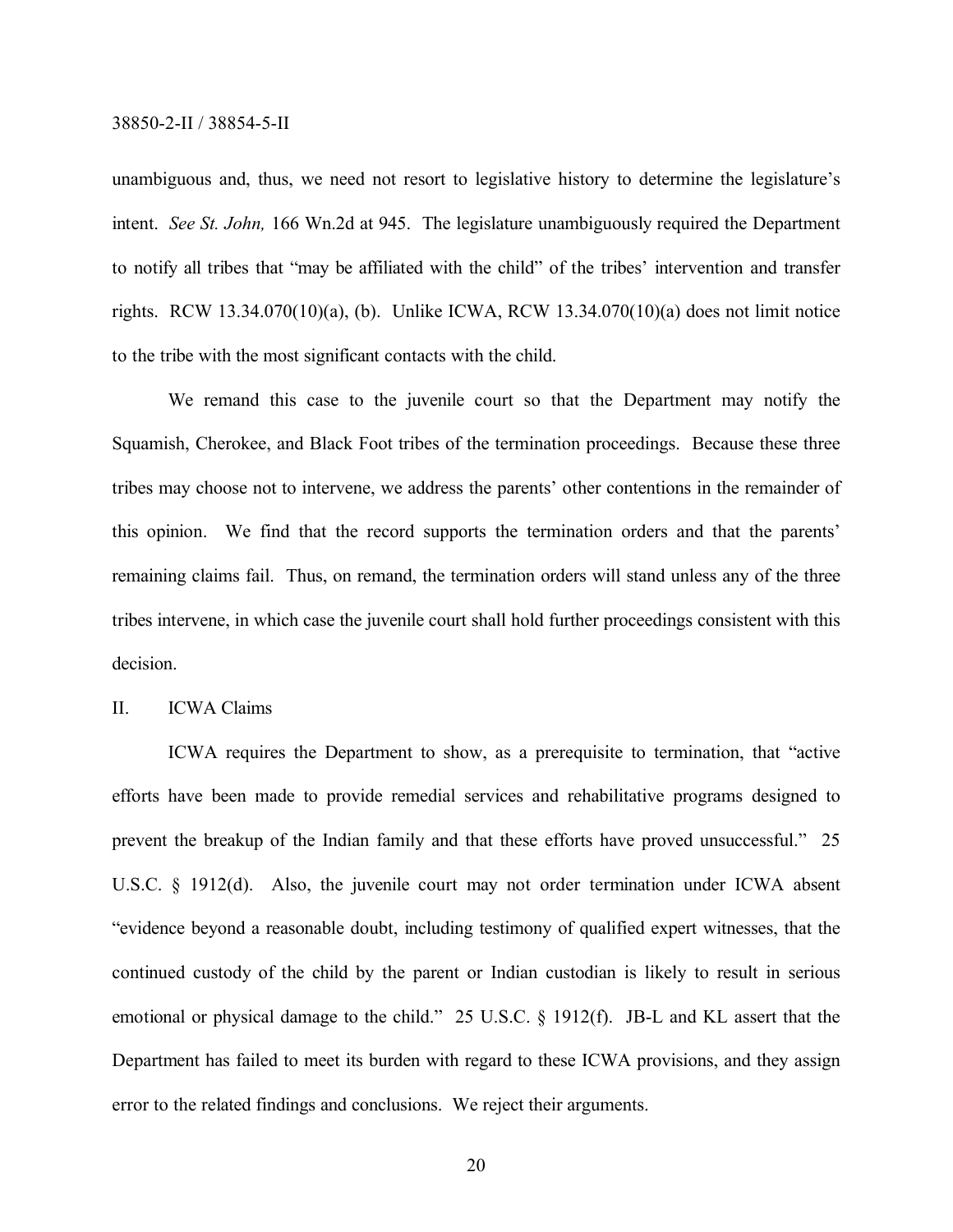unambiguous and, thus, we need not resort to legislative history to determine the legislature's intent. *See St. John,* 166 Wn.2d at 945. The legislature unambiguously required the Department to notify all tribes that "may be affiliated with the child" of the tribes' intervention and transfer rights. RCW 13.34.070(10)(a), (b). Unlike ICWA, RCW 13.34.070(10)(a) does not limit notice to the tribe with the most significant contacts with the child.

We remand this case to the juvenile court so that the Department may notify the Squamish, Cherokee, and Black Foot tribes of the termination proceedings. Because these three tribes may choose not to intervene, we address the parents' other contentions in the remainder of this opinion. We find that the record supports the termination orders and that the parents' remaining claims fail. Thus, on remand, the termination orders will stand unless any of the three tribes intervene, in which case the juvenile court shall hold further proceedings consistent with this decision.

## II. ICWA Claims

ICWA requires the Department to show, as a prerequisite to termination, that "active efforts have been made to provide remedial services and rehabilitative programs designed to prevent the breakup of the Indian family and that these efforts have proved unsuccessful." 25 U.S.C. § 1912(d). Also, the juvenile court may not order termination under ICWA absent "evidence beyond a reasonable doubt, including testimony of qualified expert witnesses, that the continued custody of the child by the parent or Indian custodian is likely to result in serious emotional or physical damage to the child." 25 U.S.C. § 1912(f). JB-L and KL assert that the Department has failed to meet its burden with regard to these ICWA provisions, and they assign error to the related findings and conclusions. We reject their arguments.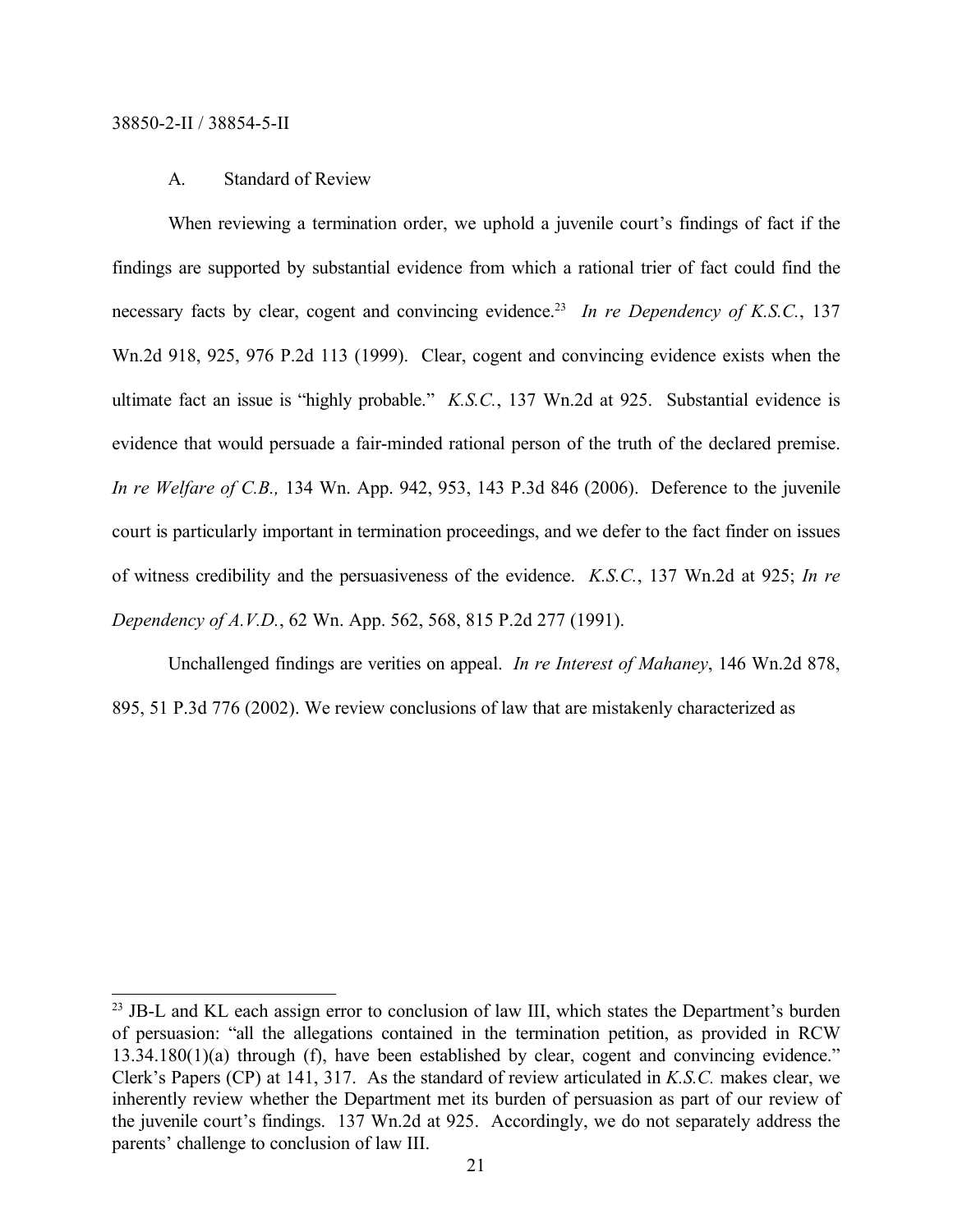# A. Standard of Review

When reviewing a termination order, we uphold a juvenile court's findings of fact if the findings are supported by substantial evidence from which a rational trier of fact could find the necessary facts by clear, cogent and convincing evidence.<sup>23</sup> In re Dependency of K.S.C., 137 Wn.2d 918, 925, 976 P.2d 113 (1999). Clear, cogent and convincing evidence exists when the ultimate fact an issue is "highly probable." *K.S.C.*, 137 Wn.2d at 925. Substantial evidence is evidence that would persuade a fair-minded rational person of the truth of the declared premise. *In re Welfare of C.B.,* 134 Wn. App. 942, 953, 143 P.3d 846 (2006). Deference to the juvenile court is particularly important in termination proceedings, and we defer to the fact finder on issues of witness credibility and the persuasiveness of the evidence. *K.S.C.*, 137 Wn.2d at 925; *In re Dependency of A.V.D.*, 62 Wn. App. 562, 568, 815 P.2d 277 (1991).

Unchallenged findings are verities on appeal. *In re Interest of Mahaney*, 146 Wn.2d 878, 895, 51 P.3d 776 (2002). We review conclusions of law that are mistakenly characterized as

<sup>&</sup>lt;sup>23</sup> JB-L and KL each assign error to conclusion of law III, which states the Department's burden of persuasion: "all the allegations contained in the termination petition, as provided in RCW 13.34.180(1)(a) through (f), have been established by clear, cogent and convincing evidence." Clerk's Papers (CP) at 141, 317. As the standard of review articulated in *K.S.C.* makes clear, we inherently review whether the Department met its burden of persuasion as part of our review of the juvenile court's findings. 137 Wn.2d at 925. Accordingly, we do not separately address the parents' challenge to conclusion of law III.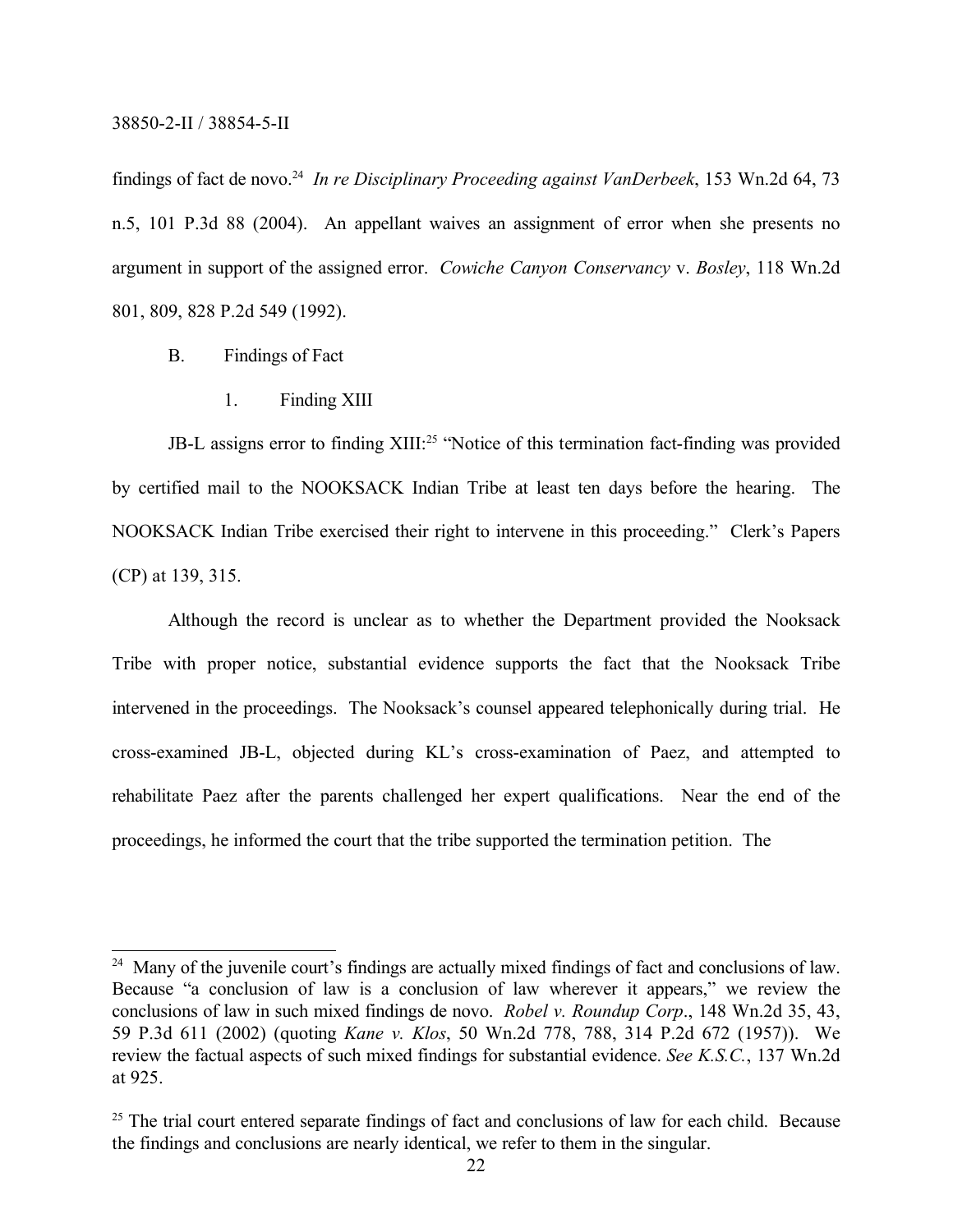findings of fact de novo.<sup>24</sup> *In re Disciplinary Proceeding against VanDerbeek*, 153 Wn.2d 64, 73 n.5, 101 P.3d 88 (2004). An appellant waives an assignment of error when she presents no argument in support of the assigned error. *Cowiche Canyon Conservancy* v. *Bosley*, 118 Wn.2d 801, 809, 828 P.2d 549 (1992).

- B. Findings of Fact
	- 1. Finding XIII

JB-L assigns error to finding XIII:<sup>25</sup> "Notice of this termination fact-finding was provided by certified mail to the NOOKSACK Indian Tribe at least ten days before the hearing. The NOOKSACK Indian Tribe exercised their right to intervene in this proceeding." Clerk's Papers (CP) at 139, 315.

Although the record is unclear as to whether the Department provided the Nooksack Tribe with proper notice, substantial evidence supports the fact that the Nooksack Tribe intervened in the proceedings. The Nooksack's counsel appeared telephonically during trial. He cross-examined JB-L, objected during KL's cross-examination of Paez, and attempted to rehabilitate Paez after the parents challenged her expert qualifications. Near the end of the proceedings, he informed the court that the tribe supported the termination petition. The

<sup>&</sup>lt;sup>24</sup> Many of the juvenile court's findings are actually mixed findings of fact and conclusions of law. Because "a conclusion of law is a conclusion of law wherever it appears," we review the conclusions of law in such mixed findings de novo. *Robel v. Roundup Corp*., 148 Wn.2d 35, 43, 59 P.3d 611 (2002) (quoting *Kane v. Klos*, 50 Wn.2d 778, 788, 314 P.2d 672 (1957)). We review the factual aspects of such mixed findings for substantial evidence. *See K.S.C.*, 137 Wn.2d at 925.

<sup>&</sup>lt;sup>25</sup> The trial court entered separate findings of fact and conclusions of law for each child. Because the findings and conclusions are nearly identical, we refer to them in the singular.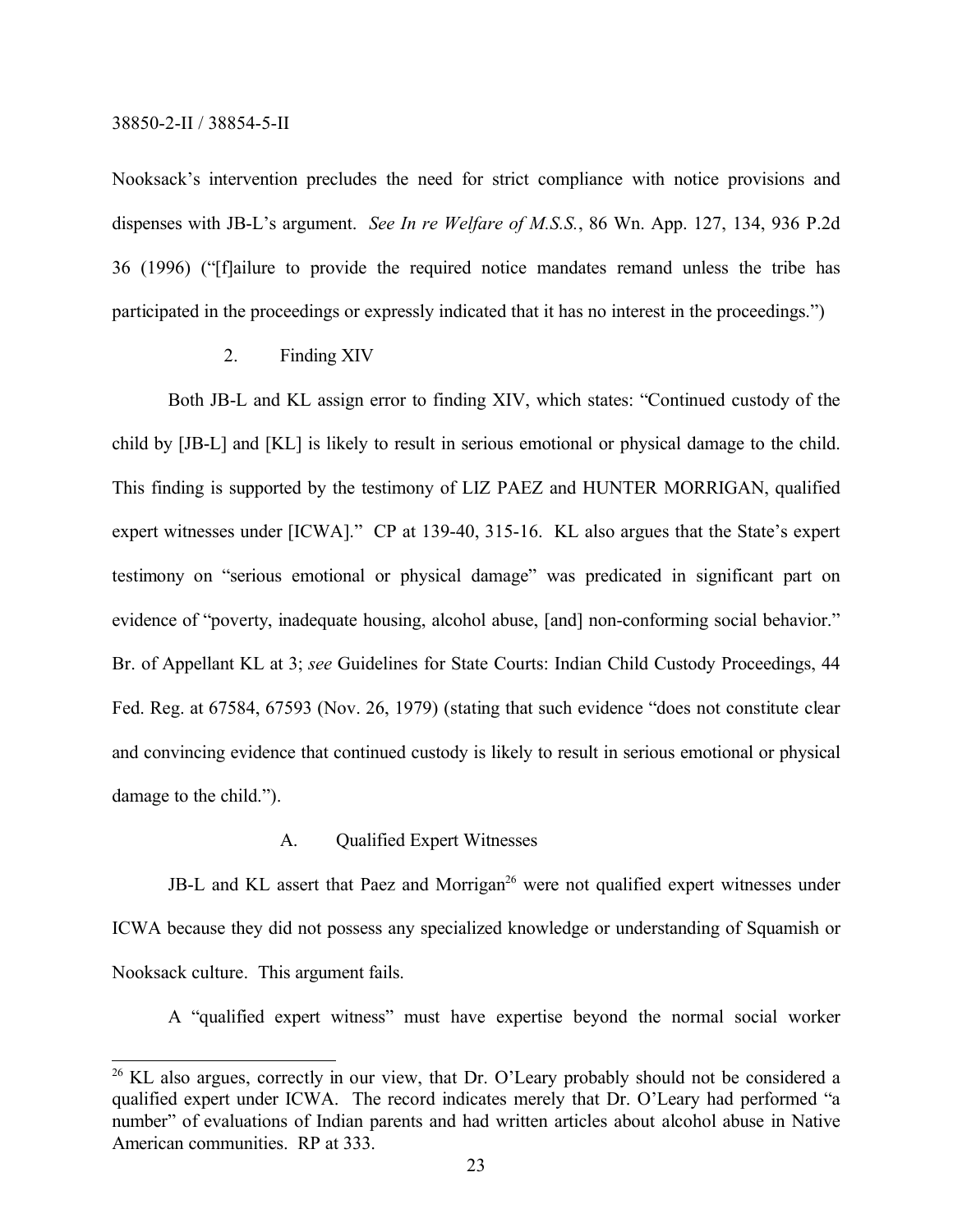Nooksack's intervention precludes the need for strict compliance with notice provisions and dispenses with JB-L's argument. *See In re Welfare of M.S.S.*, 86 Wn. App. 127, 134, 936 P.2d 36 (1996) ("[f]ailure to provide the required notice mandates remand unless the tribe has participated in the proceedings or expressly indicated that it has no interest in the proceedings.")

2. Finding XIV

Both JB-L and KL assign error to finding XIV, which states: "Continued custody of the child by [JB-L] and [KL] is likely to result in serious emotional or physical damage to the child. This finding is supported by the testimony of LIZ PAEZ and HUNTER MORRIGAN, qualified expert witnesses under [ICWA]." CP at 139-40, 315-16. KL also argues that the State's expert testimony on "serious emotional or physical damage" was predicated in significant part on evidence of "poverty, inadequate housing, alcohol abuse, [and] non-conforming social behavior." Br. of Appellant KL at 3; *see* Guidelines for State Courts: Indian Child Custody Proceedings, 44 Fed. Reg. at 67584, 67593 (Nov. 26, 1979) (stating that such evidence "does not constitute clear and convincing evidence that continued custody is likely to result in serious emotional or physical damage to the child.").

# A. Qualified Expert Witnesses

JB-L and KL assert that Paez and Morrigan<sup>26</sup> were not qualified expert witnesses under ICWA because they did not possess any specialized knowledge or understanding of Squamish or Nooksack culture. This argument fails.

A "qualified expert witness" must have expertise beyond the normal social worker

<sup>&</sup>lt;sup>26</sup> KL also argues, correctly in our view, that Dr. O'Leary probably should not be considered a qualified expert under ICWA. The record indicates merely that Dr. O'Leary had performed "a number" of evaluations of Indian parents and had written articles about alcohol abuse in Native American communities. RP at 333.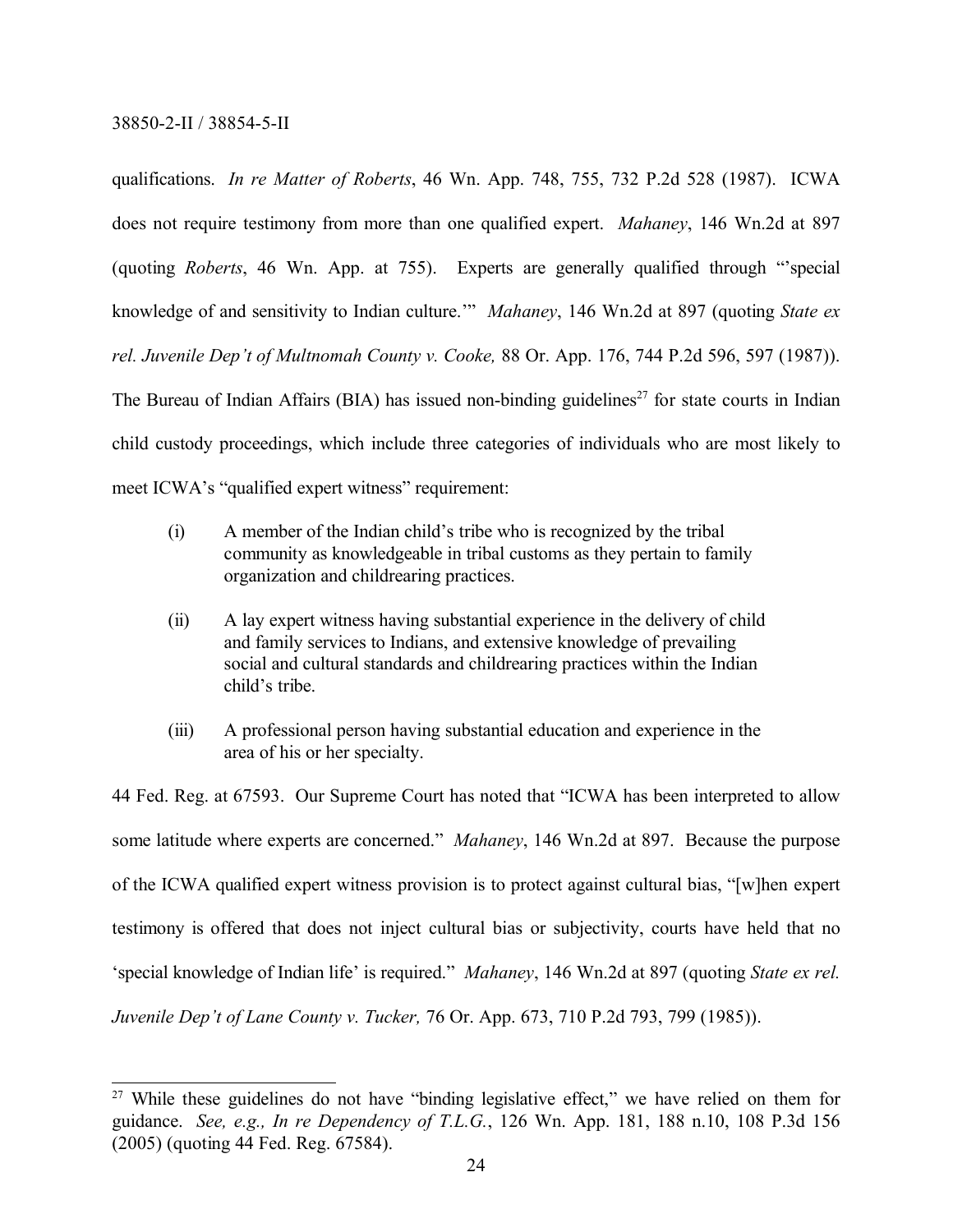qualifications. *In re Matter of Roberts*, 46 Wn. App. 748, 755, 732 P.2d 528 (1987). ICWA does not require testimony from more than one qualified expert. *Mahaney*, 146 Wn.2d at 897 (quoting *Roberts*, 46 Wn. App. at 755). Experts are generally qualified through "'special knowledge of and sensitivity to Indian culture.'" *Mahaney*, 146 Wn.2d at 897 (quoting *State ex rel. Juvenile Dep't of Multnomah County v. Cooke,* 88 Or. App. 176, 744 P.2d 596, 597 (1987)). The Bureau of Indian Affairs (BIA) has issued non-binding guidelines<sup>27</sup> for state courts in Indian child custody proceedings, which include three categories of individuals who are most likely to meet ICWA's "qualified expert witness" requirement:

- (i) A member of the Indian child's tribe who is recognized by the tribal community as knowledgeable in tribal customs as they pertain to family organization and childrearing practices.
- (ii) A lay expert witness having substantial experience in the delivery of child and family services to Indians, and extensive knowledge of prevailing social and cultural standards and childrearing practices within the Indian child's tribe.
- (iii) A professional person having substantial education and experience in the area of his or her specialty.

44 Fed. Reg. at 67593. Our Supreme Court has noted that "ICWA has been interpreted to allow some latitude where experts are concerned." *Mahaney*, 146 Wn.2d at 897. Because the purpose of the ICWA qualified expert witness provision is to protect against cultural bias, "[w]hen expert testimony is offered that does not inject cultural bias or subjectivity, courts have held that no 'special knowledge of Indian life' is required." *Mahaney*, 146 Wn.2d at 897 (quoting *State ex rel. Juvenile Dep't of Lane County v. Tucker,* 76 Or. App. 673, 710 P.2d 793, 799 (1985)).

<sup>&</sup>lt;sup>27</sup> While these guidelines do not have "binding legislative effect," we have relied on them for guidance. *See, e.g., In re Dependency of T.L.G.*, 126 Wn. App. 181, 188 n.10, 108 P.3d 156 (2005) (quoting 44 Fed. Reg. 67584).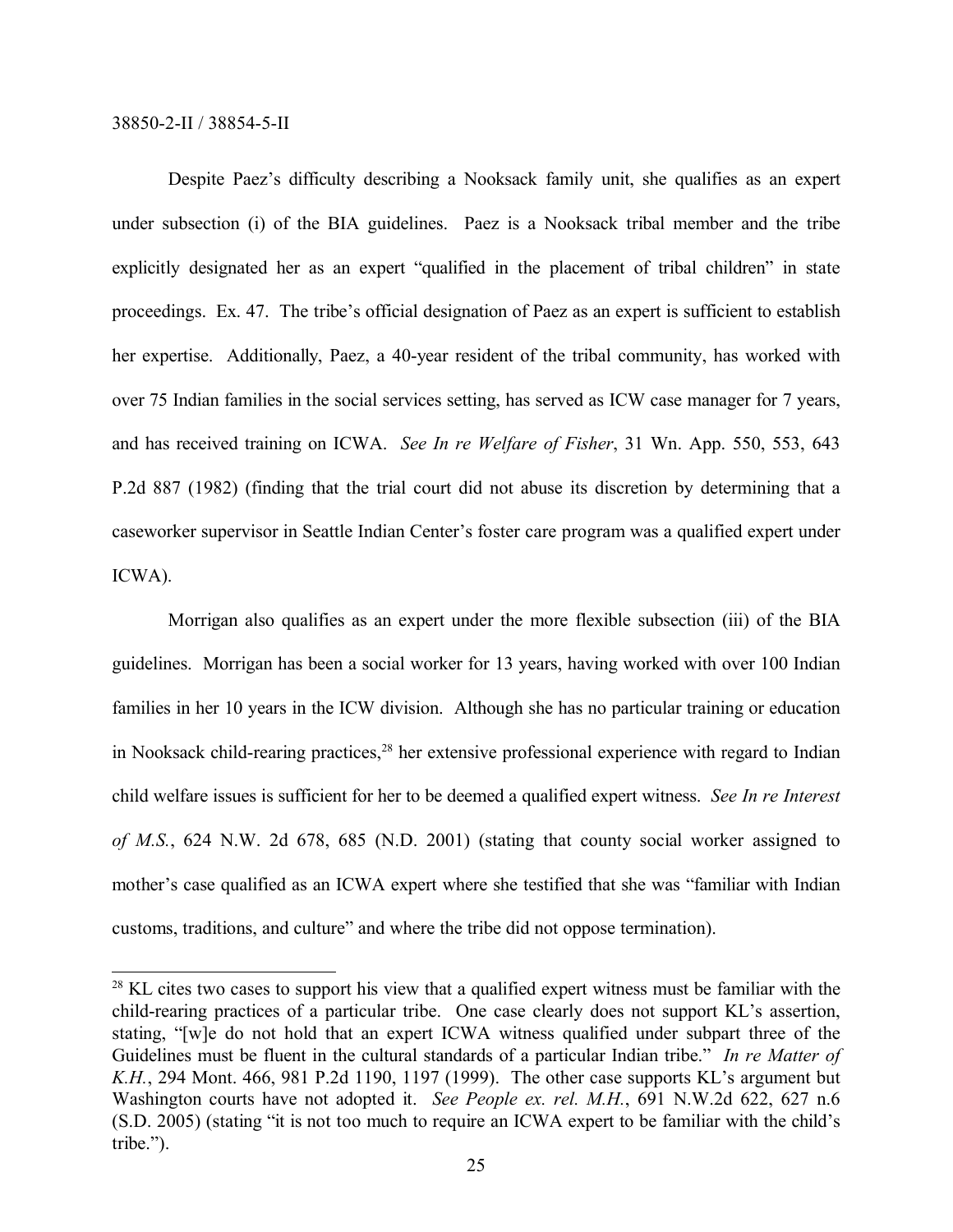Despite Paez's difficulty describing a Nooksack family unit, she qualifies as an expert under subsection (i) of the BIA guidelines. Paez is a Nooksack tribal member and the tribe explicitly designated her as an expert "qualified in the placement of tribal children" in state proceedings. Ex. 47. The tribe's official designation of Paez as an expert is sufficient to establish her expertise. Additionally, Paez, a 40-year resident of the tribal community, has worked with over 75 Indian families in the social services setting, has served as ICW case manager for 7 years, and has received training on ICWA. *See In re Welfare of Fisher*, 31 Wn. App. 550, 553, 643 P.2d 887 (1982) (finding that the trial court did not abuse its discretion by determining that a caseworker supervisor in Seattle Indian Center's foster care program was a qualified expert under ICWA).

Morrigan also qualifies as an expert under the more flexible subsection (iii) of the BIA guidelines. Morrigan has been a social worker for 13 years, having worked with over 100 Indian families in her 10 years in the ICW division. Although she has no particular training or education in Nooksack child-rearing practices,<sup>28</sup> her extensive professional experience with regard to Indian child welfare issues is sufficient for her to be deemed a qualified expert witness. *See In re Interest of M.S.*, 624 N.W. 2d 678, 685 (N.D. 2001) (stating that county social worker assigned to mother's case qualified as an ICWA expert where she testified that she was "familiar with Indian customs, traditions, and culture" and where the tribe did not oppose termination).

<sup>&</sup>lt;sup>28</sup> KL cites two cases to support his view that a qualified expert witness must be familiar with the child-rearing practices of a particular tribe. One case clearly does not support KL's assertion, stating, "[w]e do not hold that an expert ICWA witness qualified under subpart three of the Guidelines must be fluent in the cultural standards of a particular Indian tribe." *In re Matter of K.H.*, 294 Mont. 466, 981 P.2d 1190, 1197 (1999). The other case supports KL's argument but Washington courts have not adopted it. *See People ex. rel. M.H.*, 691 N.W.2d 622, 627 n.6 (S.D. 2005) (stating "it is not too much to require an ICWA expert to be familiar with the child's tribe.").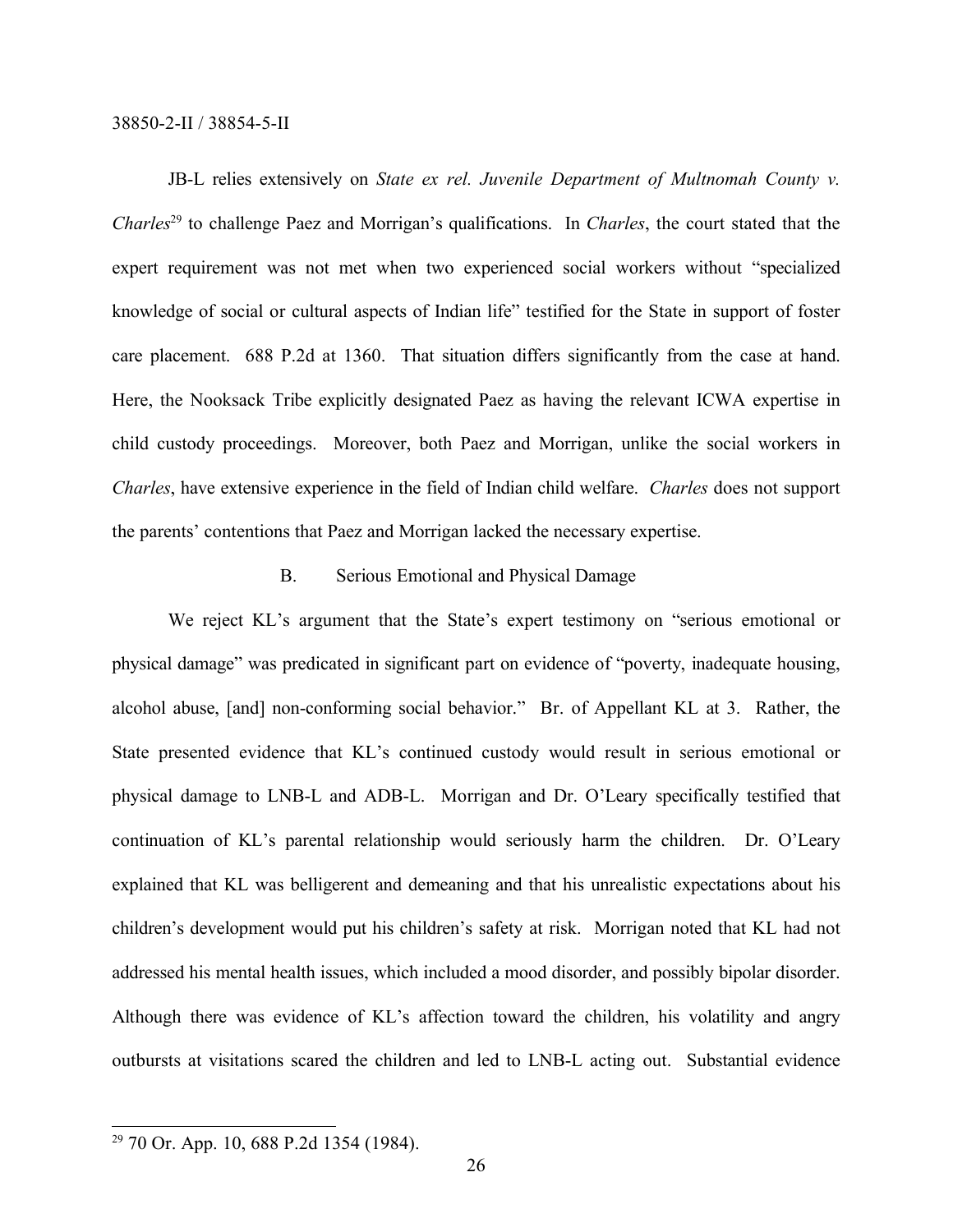JB-L relies extensively on *State ex rel. Juvenile Department of Multnomah County v. Charles*<sup>29</sup> to challenge Paez and Morrigan's qualifications. In *Charles*, the court stated that the expert requirement was not met when two experienced social workers without "specialized knowledge of social or cultural aspects of Indian life" testified for the State in support of foster care placement. 688 P.2d at 1360. That situation differs significantly from the case at hand. Here, the Nooksack Tribe explicitly designated Paez as having the relevant ICWA expertise in child custody proceedings. Moreover, both Paez and Morrigan, unlike the social workers in *Charles*, have extensive experience in the field of Indian child welfare. *Charles* does not support the parents' contentions that Paez and Morrigan lacked the necessary expertise.

# B. Serious Emotional and Physical Damage

We reject KL's argument that the State's expert testimony on "serious emotional or physical damage" was predicated in significant part on evidence of "poverty, inadequate housing, alcohol abuse, [and] non-conforming social behavior." Br. of Appellant KL at 3. Rather, the State presented evidence that KL's continued custody would result in serious emotional or physical damage to LNB-L and ADB-L. Morrigan and Dr. O'Leary specifically testified that continuation of KL's parental relationship would seriously harm the children. Dr. O'Leary explained that KL was belligerent and demeaning and that his unrealistic expectations about his children's development would put his children's safety at risk. Morrigan noted that KL had not addressed his mental health issues, which included a mood disorder, and possibly bipolar disorder. Although there was evidence of KL's affection toward the children, his volatility and angry outbursts at visitations scared the children and led to LNB-L acting out. Substantial evidence

<sup>29</sup> 70 Or. App. 10, 688 P.2d 1354 (1984).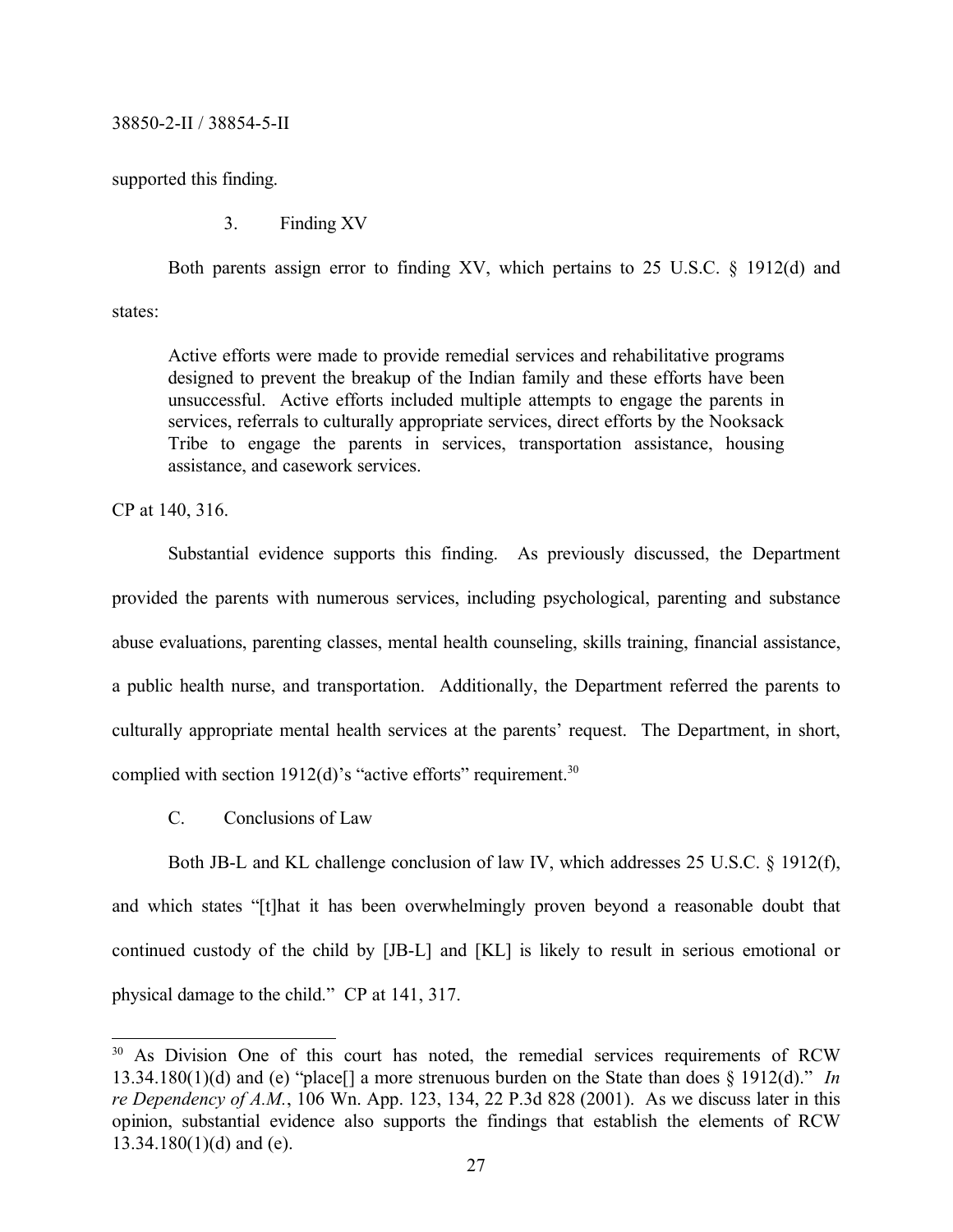supported this finding.

3. Finding XV

Both parents assign error to finding XV, which pertains to 25 U.S.C. § 1912(d) and

states:

Active efforts were made to provide remedial services and rehabilitative programs designed to prevent the breakup of the Indian family and these efforts have been unsuccessful. Active efforts included multiple attempts to engage the parents in services, referrals to culturally appropriate services, direct efforts by the Nooksack Tribe to engage the parents in services, transportation assistance, housing assistance, and casework services.

CP at 140, 316.

Substantial evidence supports this finding. As previously discussed, the Department provided the parents with numerous services, including psychological, parenting and substance abuse evaluations, parenting classes, mental health counseling, skills training, financial assistance, a public health nurse, and transportation. Additionally, the Department referred the parents to culturally appropriate mental health services at the parents' request. The Department, in short, complied with section 1912(d)'s "active efforts" requirement.<sup>30</sup>

C. Conclusions of Law

Both JB-L and KL challenge conclusion of law IV, which addresses 25 U.S.C. § 1912(f), and which states "[t]hat it has been overwhelmingly proven beyond a reasonable doubt that continued custody of the child by [JB-L] and [KL] is likely to result in serious emotional or physical damage to the child." CP at 141, 317.

<sup>&</sup>lt;sup>30</sup> As Division One of this court has noted, the remedial services requirements of RCW 13.34.180(1)(d) and (e) "place[] a more strenuous burden on the State than does § 1912(d)." *In re Dependency of A.M.*, 106 Wn. App. 123, 134, 22 P.3d 828 (2001). As we discuss later in this opinion, substantial evidence also supports the findings that establish the elements of RCW  $13.34.180(1)(d)$  and (e).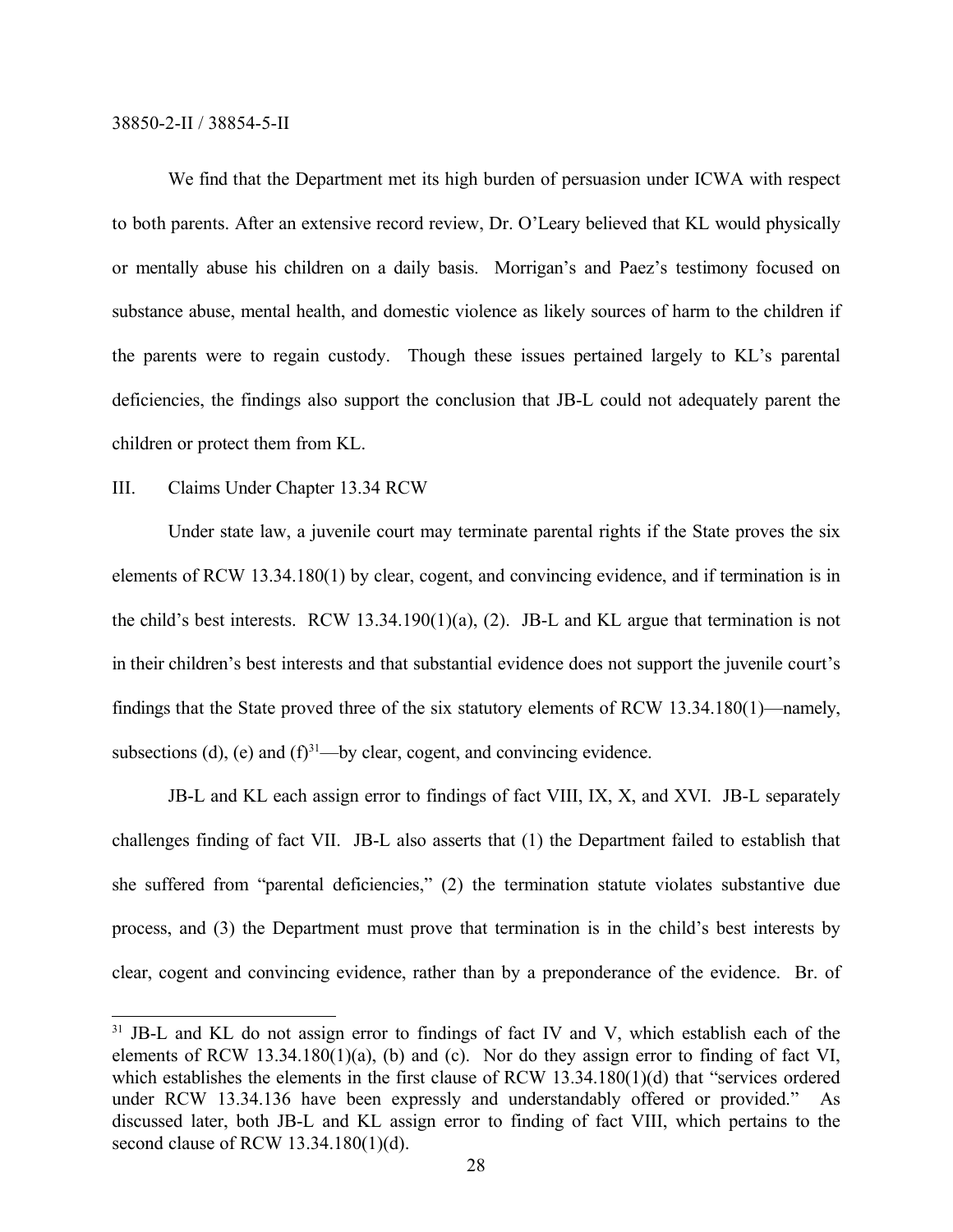We find that the Department met its high burden of persuasion under ICWA with respect to both parents. After an extensive record review, Dr. O'Leary believed that KL would physically or mentally abuse his children on a daily basis. Morrigan's and Paez's testimony focused on substance abuse, mental health, and domestic violence as likely sources of harm to the children if the parents were to regain custody. Though these issues pertained largely to KL's parental deficiencies, the findings also support the conclusion that JB-L could not adequately parent the children or protect them from KL.

# III. Claims Under Chapter 13.34 RCW

Under state law, a juvenile court may terminate parental rights if the State proves the six elements of RCW 13.34.180(1) by clear, cogent, and convincing evidence, and if termination is in the child's best interests. RCW 13.34.190(1)(a), (2). JB-L and KL argue that termination is not in their children's best interests and that substantial evidence does not support the juvenile court's findings that the State proved three of the six statutory elements of RCW 13.34.180(1)—namely, subsections (d), (e) and  $(f)^{31}$ —by clear, cogent, and convincing evidence.

JB-L and KL each assign error to findings of fact VIII, IX, X, and XVI. JB-L separately challenges finding of fact VII. JB-L also asserts that (1) the Department failed to establish that she suffered from "parental deficiencies," (2) the termination statute violates substantive due process, and (3) the Department must prove that termination is in the child's best interests by clear, cogent and convincing evidence, rather than by a preponderance of the evidence. Br. of

<sup>&</sup>lt;sup>31</sup> JB-L and KL do not assign error to findings of fact IV and V, which establish each of the elements of RCW 13.34.180(1)(a), (b) and (c). Nor do they assign error to finding of fact VI, which establishes the elements in the first clause of RCW 13.34.180(1)(d) that "services ordered under RCW 13.34.136 have been expressly and understandably offered or provided." As discussed later, both JB-L and KL assign error to finding of fact VIII, which pertains to the second clause of RCW 13.34.180(1)(d).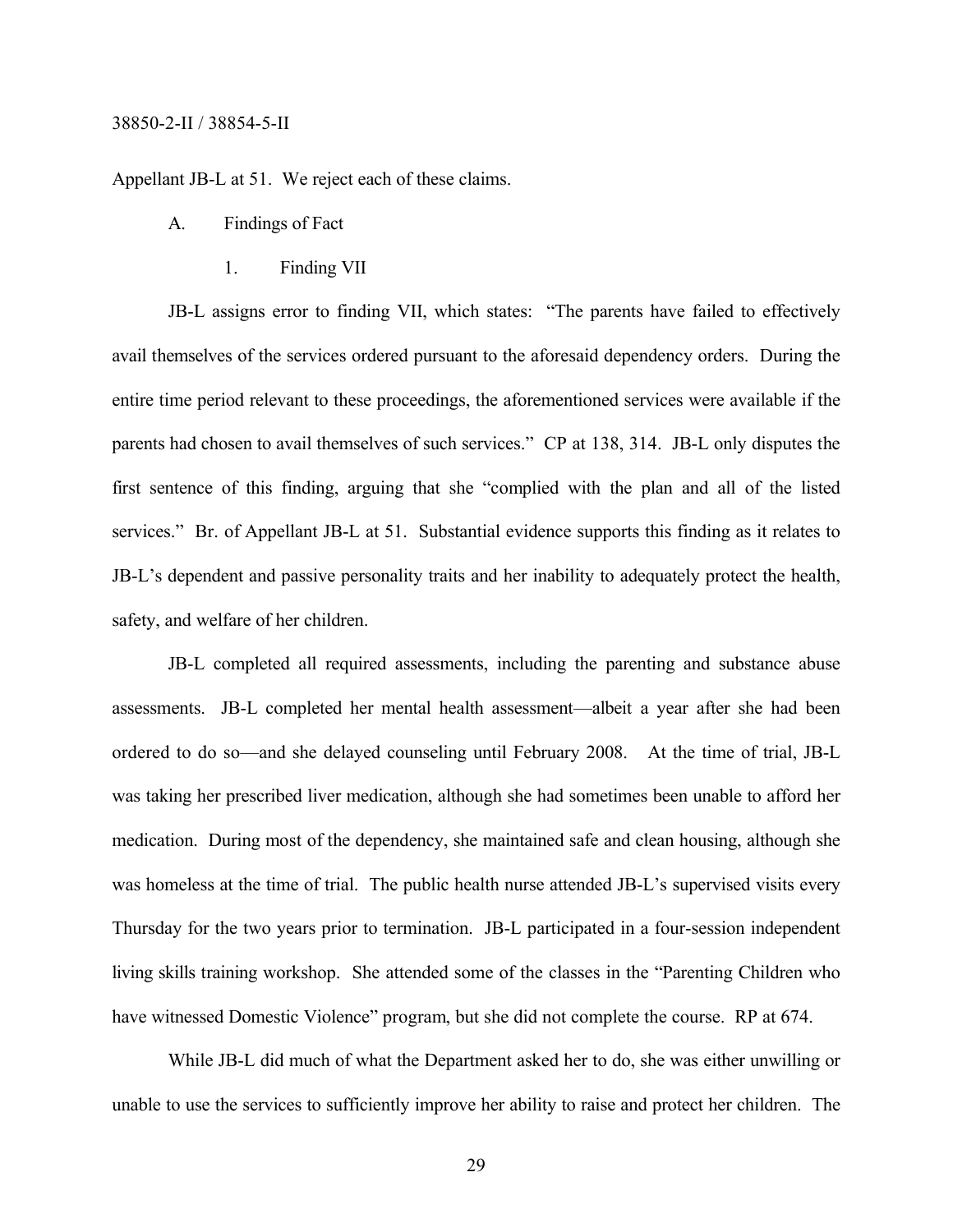Appellant JB-L at 51. We reject each of these claims.

- A. Findings of Fact
	- 1. Finding VII

JB-L assigns error to finding VII, which states: "The parents have failed to effectively avail themselves of the services ordered pursuant to the aforesaid dependency orders. During the entire time period relevant to these proceedings, the aforementioned services were available if the parents had chosen to avail themselves of such services." CP at 138, 314. JB-L only disputes the first sentence of this finding, arguing that she "complied with the plan and all of the listed services." Br. of Appellant JB-L at 51. Substantial evidence supports this finding as it relates to JB-L's dependent and passive personality traits and her inability to adequately protect the health, safety, and welfare of her children.

JB-L completed all required assessments, including the parenting and substance abuse assessments. JB-L completed her mental health assessment—albeit a year after she had been ordered to do so—and she delayed counseling until February 2008. At the time of trial, JB-L was taking her prescribed liver medication, although she had sometimes been unable to afford her medication. During most of the dependency, she maintained safe and clean housing, although she was homeless at the time of trial. The public health nurse attended JB-L's supervised visits every Thursday for the two years prior to termination. JB-L participated in a four-session independent living skills training workshop. She attended some of the classes in the "Parenting Children who have witnessed Domestic Violence" program, but she did not complete the course. RP at 674.

While JB-L did much of what the Department asked her to do, she was either unwilling or unable to use the services to sufficiently improve her ability to raise and protect her children. The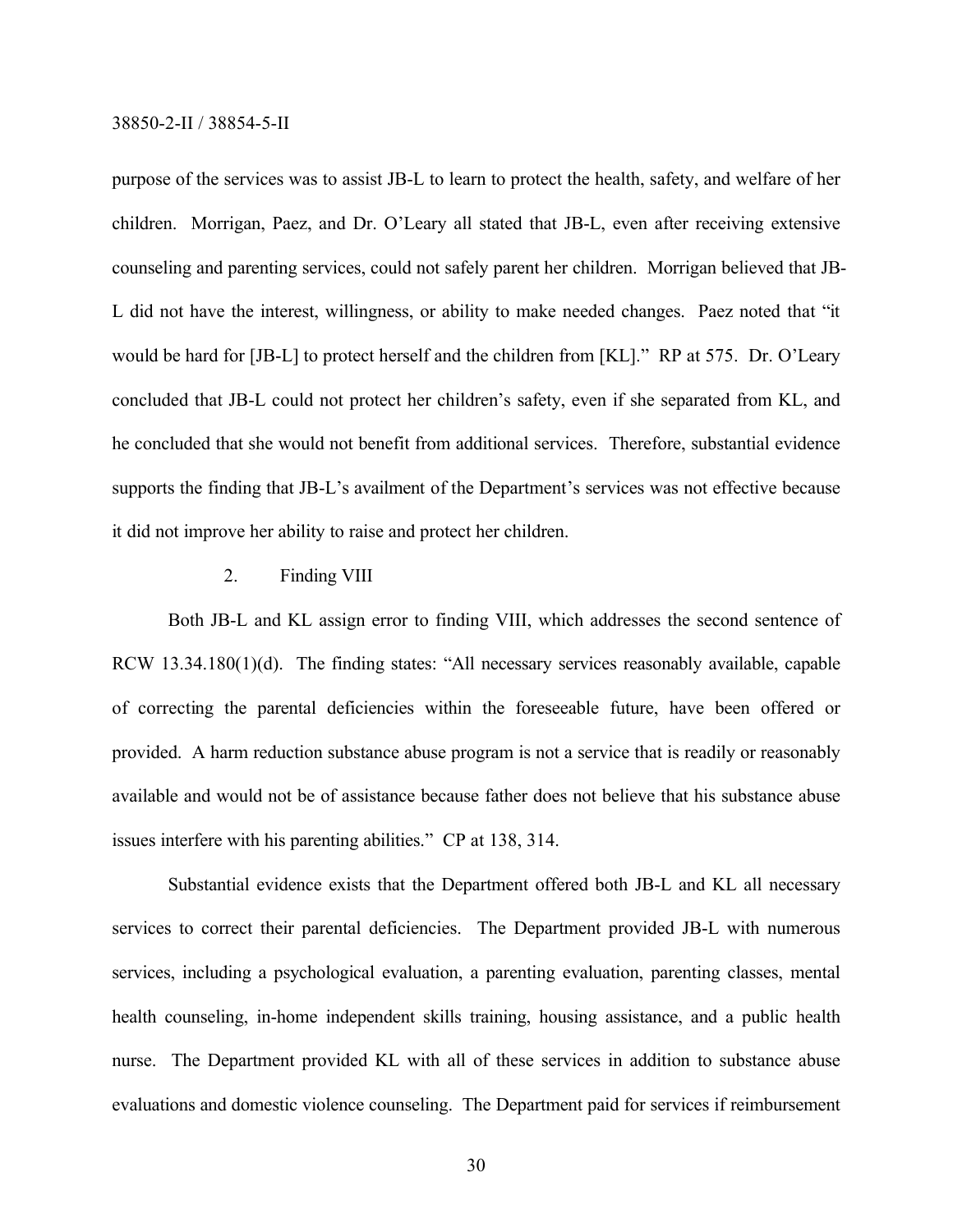purpose of the services was to assist JB-L to learn to protect the health, safety, and welfare of her children. Morrigan, Paez, and Dr. O'Leary all stated that JB-L, even after receiving extensive counseling and parenting services, could not safely parent her children. Morrigan believed that JB-L did not have the interest, willingness, or ability to make needed changes. Paez noted that "it would be hard for [JB-L] to protect herself and the children from [KL]." RP at 575. Dr. O'Leary concluded that JB-L could not protect her children's safety, even if she separated from KL, and he concluded that she would not benefit from additional services. Therefore, substantial evidence supports the finding that JB-L's availment of the Department's services was not effective because it did not improve her ability to raise and protect her children.

# 2. Finding VIII

Both JB-L and KL assign error to finding VIII, which addresses the second sentence of RCW 13.34.180(1)(d). The finding states: "All necessary services reasonably available, capable of correcting the parental deficiencies within the foreseeable future, have been offered or provided. A harm reduction substance abuse program is not a service that is readily or reasonably available and would not be of assistance because father does not believe that his substance abuse issues interfere with his parenting abilities." CP at 138, 314.

Substantial evidence exists that the Department offered both JB-L and KL all necessary services to correct their parental deficiencies. The Department provided JB-L with numerous services, including a psychological evaluation, a parenting evaluation, parenting classes, mental health counseling, in-home independent skills training, housing assistance, and a public health nurse. The Department provided KL with all of these services in addition to substance abuse evaluations and domestic violence counseling. The Department paid for services if reimbursement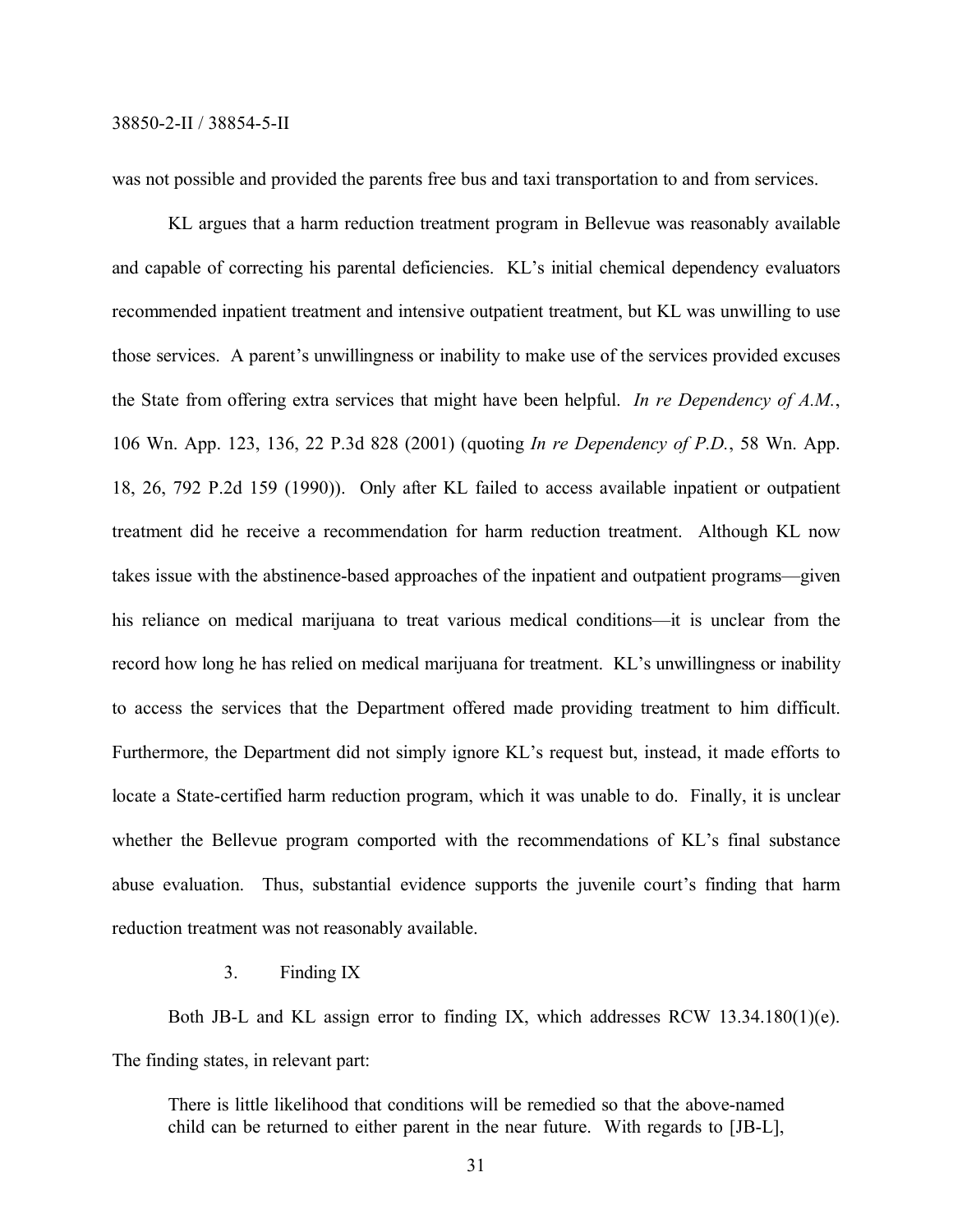was not possible and provided the parents free bus and taxi transportation to and from services.

KL argues that a harm reduction treatment program in Bellevue was reasonably available and capable of correcting his parental deficiencies. KL's initial chemical dependency evaluators recommended inpatient treatment and intensive outpatient treatment, but KL was unwilling to use those services. A parent's unwillingness or inability to make use of the services provided excuses the State from offering extra services that might have been helpful. *In re Dependency of A.M.*, 106 Wn. App. 123, 136, 22 P.3d 828 (2001) (quoting *In re Dependency of P.D.*, 58 Wn. App. 18, 26, 792 P.2d 159 (1990)). Only after KL failed to access available inpatient or outpatient treatment did he receive a recommendation for harm reduction treatment. Although KL now takes issue with the abstinence-based approaches of the inpatient and outpatient programs—given his reliance on medical marijuana to treat various medical conditions—it is unclear from the record how long he has relied on medical marijuana for treatment. KL's unwillingness or inability to access the services that the Department offered made providing treatment to him difficult. Furthermore, the Department did not simply ignore KL's request but, instead, it made efforts to locate a State-certified harm reduction program, which it was unable to do. Finally, it is unclear whether the Bellevue program comported with the recommendations of KL's final substance abuse evaluation. Thus, substantial evidence supports the juvenile court's finding that harm reduction treatment was not reasonably available.

3. Finding IX

Both JB-L and KL assign error to finding IX, which addresses RCW 13.34.180(1)(e). The finding states, in relevant part:

There is little likelihood that conditions will be remedied so that the above-named child can be returned to either parent in the near future. With regards to [JB-L],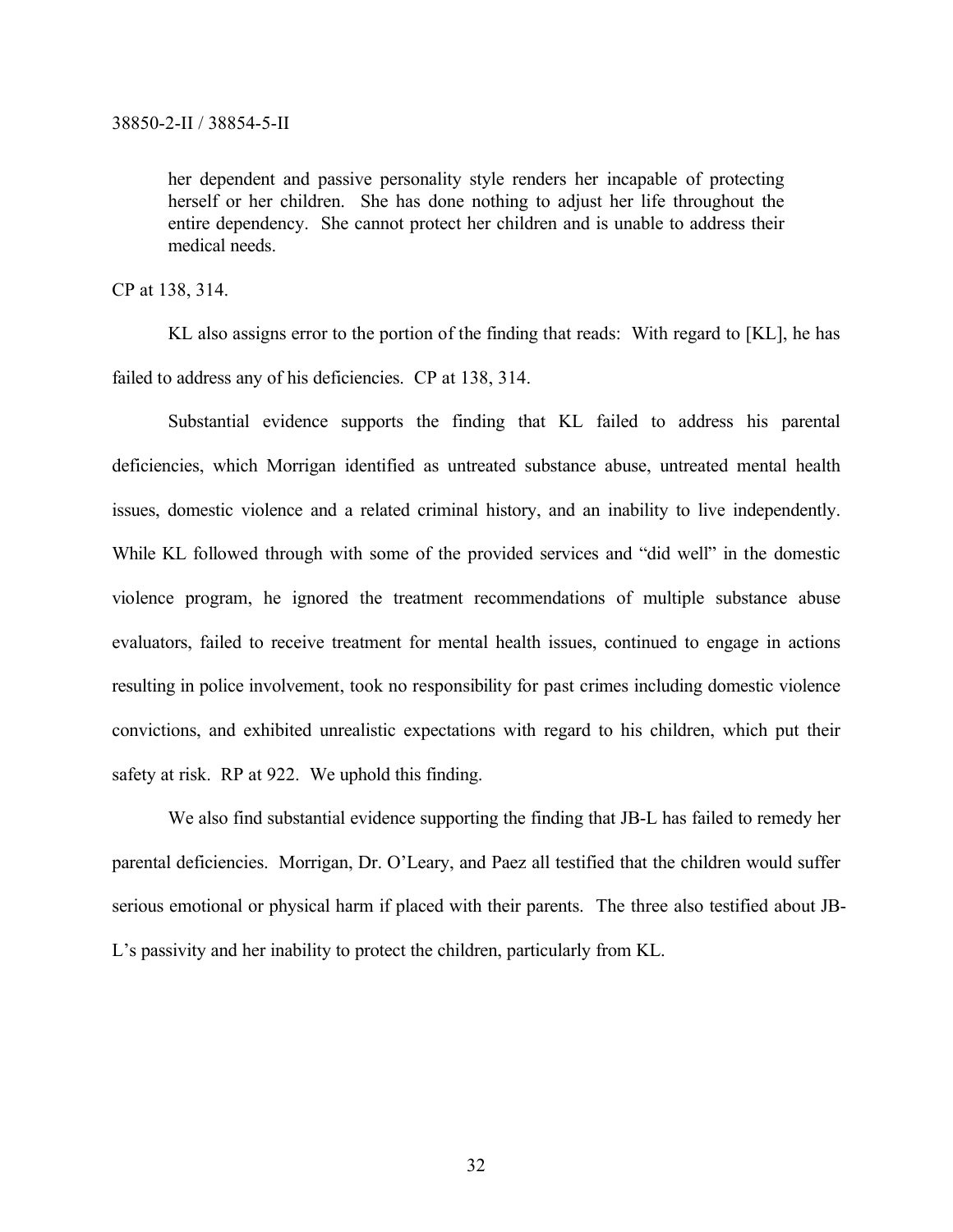her dependent and passive personality style renders her incapable of protecting herself or her children. She has done nothing to adjust her life throughout the entire dependency. She cannot protect her children and is unable to address their medical needs.

CP at 138, 314.

KL also assigns error to the portion of the finding that reads: With regard to [KL], he has failed to address any of his deficiencies. CP at 138, 314.

Substantial evidence supports the finding that KL failed to address his parental deficiencies, which Morrigan identified as untreated substance abuse, untreated mental health issues, domestic violence and a related criminal history, and an inability to live independently. While KL followed through with some of the provided services and "did well" in the domestic violence program, he ignored the treatment recommendations of multiple substance abuse evaluators, failed to receive treatment for mental health issues, continued to engage in actions resulting in police involvement, took no responsibility for past crimes including domestic violence convictions, and exhibited unrealistic expectations with regard to his children, which put their safety at risk. RP at 922. We uphold this finding.

We also find substantial evidence supporting the finding that JB-L has failed to remedy her parental deficiencies. Morrigan, Dr. O'Leary, and Paez all testified that the children would suffer serious emotional or physical harm if placed with their parents. The three also testified about JB-L's passivity and her inability to protect the children, particularly from KL.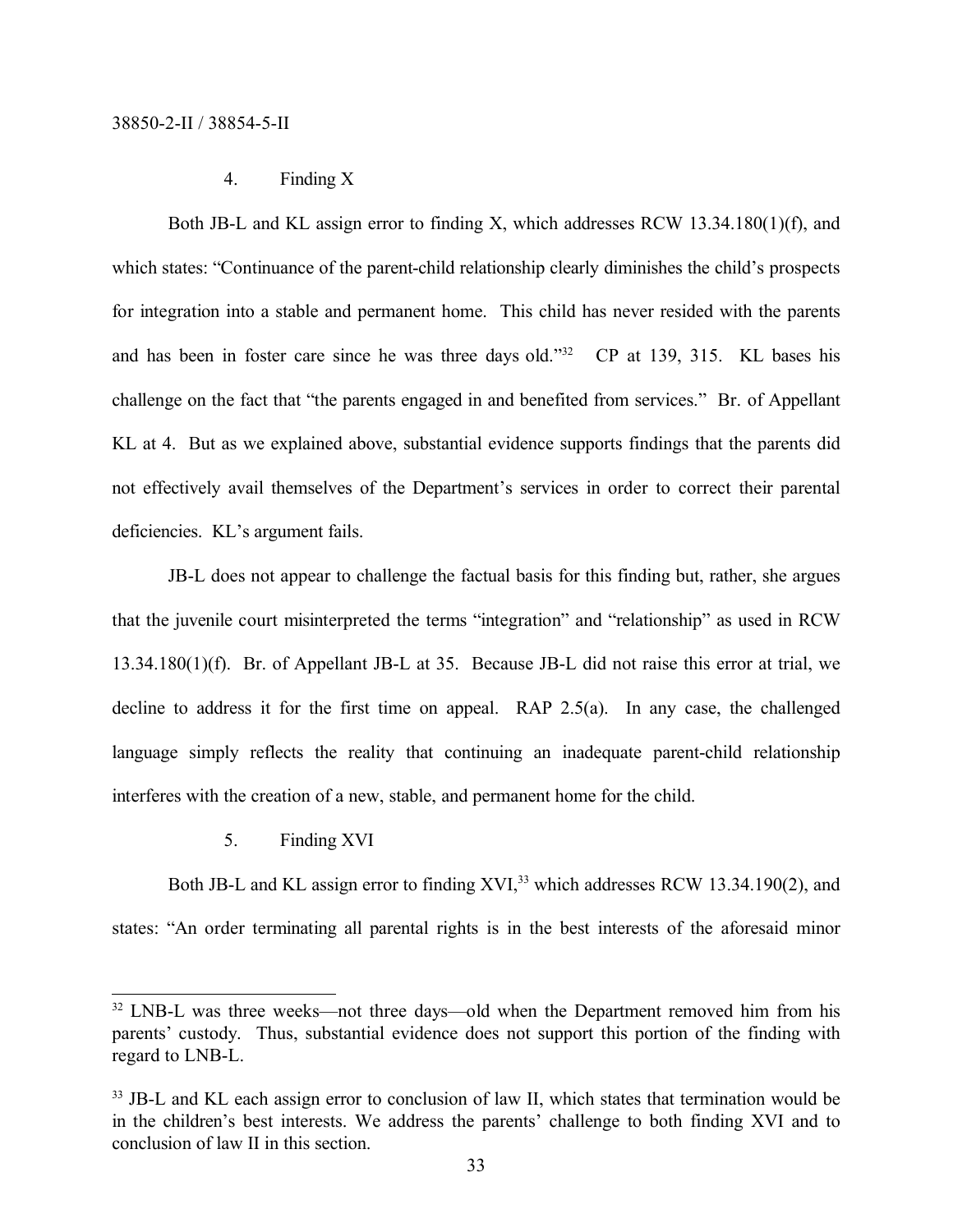4. Finding X

Both JB-L and KL assign error to finding X, which addresses RCW 13.34.180(1)(f), and which states: "Continuance of the parent-child relationship clearly diminishes the child's prospects for integration into a stable and permanent home. This child has never resided with the parents and has been in foster care since he was three days old."<sup>32</sup> CP at 139, 315. KL bases his challenge on the fact that "the parents engaged in and benefited from services." Br. of Appellant KL at 4. But as we explained above, substantial evidence supports findings that the parents did not effectively avail themselves of the Department's services in order to correct their parental deficiencies. KL's argument fails.

JB-L does not appear to challenge the factual basis for this finding but, rather, she argues that the juvenile court misinterpreted the terms "integration" and "relationship" as used in RCW 13.34.180(1)(f). Br. of Appellant JB-L at 35. Because JB-L did not raise this error at trial, we decline to address it for the first time on appeal. RAP 2.5(a). In any case, the challenged language simply reflects the reality that continuing an inadequate parent-child relationship interferes with the creation of a new, stable, and permanent home for the child.

5. Finding XVI

Both JB-L and KL assign error to finding XVI,<sup>33</sup> which addresses RCW 13.34.190(2), and states: "An order terminating all parental rights is in the best interests of the aforesaid minor

<sup>&</sup>lt;sup>32</sup> LNB-L was three weeks—not three days—old when the Department removed him from his parents' custody. Thus, substantial evidence does not support this portion of the finding with regard to LNB-L.

<sup>&</sup>lt;sup>33</sup> JB-L and KL each assign error to conclusion of law II, which states that termination would be in the children's best interests. We address the parents' challenge to both finding XVI and to conclusion of law II in this section.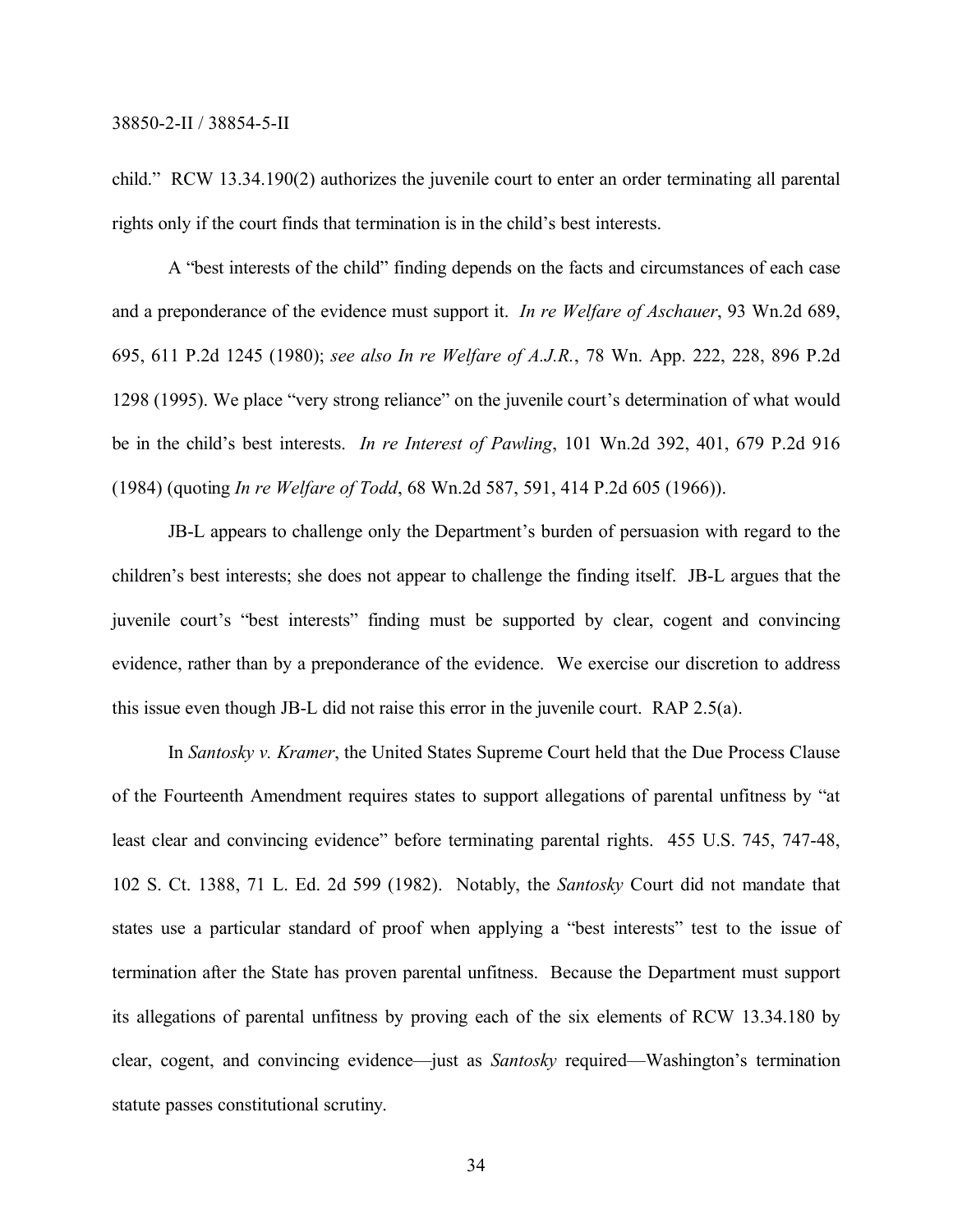child." RCW 13.34.190(2) authorizes the juvenile court to enter an order terminating all parental rights only if the court finds that termination is in the child's best interests.

A "best interests of the child" finding depends on the facts and circumstances of each case and a preponderance of the evidence must support it. *In re Welfare of Aschauer*, 93 Wn.2d 689, 695, 611 P.2d 1245 (1980); *see also In re Welfare of A.J.R.*, 78 Wn. App. 222, 228, 896 P.2d 1298 (1995). We place "very strong reliance" on the juvenile court's determination of what would be in the child's best interests. *In re Interest of Pawling*, 101 Wn.2d 392, 401, 679 P.2d 916 (1984) (quoting *In re Welfare of Todd*, 68 Wn.2d 587, 591, 414 P.2d 605 (1966)).

JB-L appears to challenge only the Department's burden of persuasion with regard to the children's best interests; she does not appear to challenge the finding itself. JB-L argues that the juvenile court's "best interests" finding must be supported by clear, cogent and convincing evidence, rather than by a preponderance of the evidence. We exercise our discretion to address this issue even though JB-L did not raise this error in the juvenile court. RAP 2.5(a).

In *Santosky v. Kramer*, the United States Supreme Court held that the Due Process Clause of the Fourteenth Amendment requires states to support allegations of parental unfitness by "at least clear and convincing evidence" before terminating parental rights. 455 U.S. 745, 747-48, 102 S. Ct. 1388, 71 L. Ed. 2d 599 (1982). Notably, the *Santosky* Court did not mandate that states use a particular standard of proof when applying a "best interests" test to the issue of termination after the State has proven parental unfitness. Because the Department must support its allegations of parental unfitness by proving each of the six elements of RCW 13.34.180 by clear, cogent, and convincing evidence—just as *Santosky* required—Washington's termination statute passes constitutional scrutiny.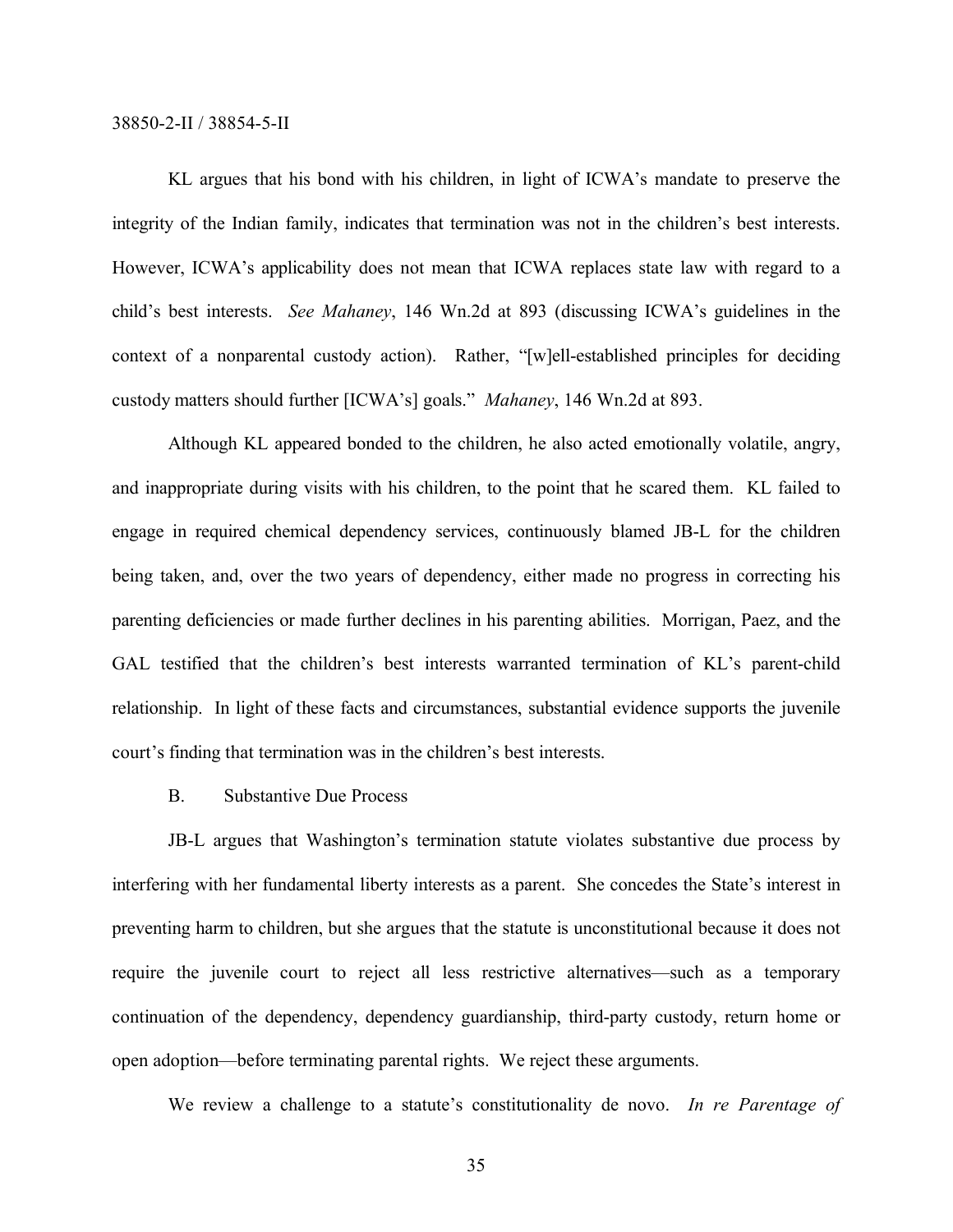KL argues that his bond with his children, in light of ICWA's mandate to preserve the integrity of the Indian family, indicates that termination was not in the children's best interests. However, ICWA's applicability does not mean that ICWA replaces state law with regard to a child's best interests. *See Mahaney*, 146 Wn.2d at 893 (discussing ICWA's guidelines in the context of a nonparental custody action). Rather, "[w]ell-established principles for deciding custody matters should further [ICWA's] goals." *Mahaney*, 146 Wn.2d at 893.

Although KL appeared bonded to the children, he also acted emotionally volatile, angry, and inappropriate during visits with his children, to the point that he scared them. KL failed to engage in required chemical dependency services, continuously blamed JB-L for the children being taken, and, over the two years of dependency, either made no progress in correcting his parenting deficiencies or made further declines in his parenting abilities. Morrigan, Paez, and the GAL testified that the children's best interests warranted termination of KL's parent-child relationship. In light of these facts and circumstances, substantial evidence supports the juvenile court's finding that termination was in the children's best interests.

B. Substantive Due Process

JB-L argues that Washington's termination statute violates substantive due process by interfering with her fundamental liberty interests as a parent. She concedes the State's interest in preventing harm to children, but she argues that the statute is unconstitutional because it does not require the juvenile court to reject all less restrictive alternatives—such as a temporary continuation of the dependency, dependency guardianship, third-party custody, return home or open adoption—before terminating parental rights. We reject these arguments.

We review a challenge to a statute's constitutionality de novo. *In re Parentage of*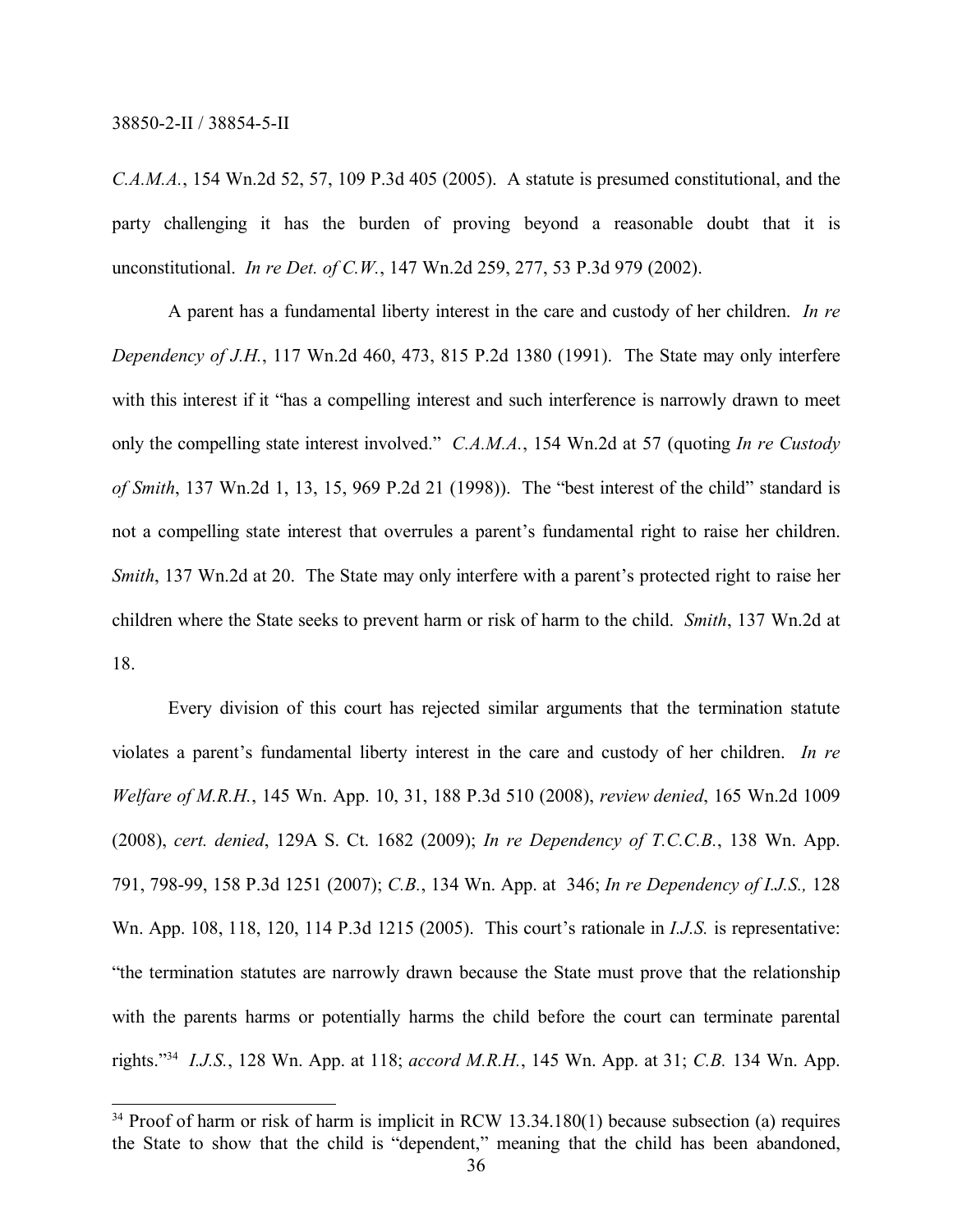*C.A.M.A.*, 154 Wn.2d 52, 57, 109 P.3d 405 (2005). A statute is presumed constitutional, and the party challenging it has the burden of proving beyond a reasonable doubt that it is unconstitutional. *In re Det. of C.W.*, 147 Wn.2d 259, 277, 53 P.3d 979 (2002).

A parent has a fundamental liberty interest in the care and custody of her children. *In re Dependency of J.H.*, 117 Wn.2d 460, 473, 815 P.2d 1380 (1991). The State may only interfere with this interest if it "has a compelling interest and such interference is narrowly drawn to meet only the compelling state interest involved." *C.A.M.A.*, 154 Wn.2d at 57 (quoting *In re Custody of Smith*, 137 Wn.2d 1, 13, 15, 969 P.2d 21 (1998)). The "best interest of the child" standard is not a compelling state interest that overrules a parent's fundamental right to raise her children. *Smith*, 137 Wn.2d at 20. The State may only interfere with a parent's protected right to raise her children where the State seeks to prevent harm or risk of harm to the child. *Smith*, 137 Wn.2d at 18.

Every division of this court has rejected similar arguments that the termination statute violates a parent's fundamental liberty interest in the care and custody of her children. *In re Welfare of M.R.H.*, 145 Wn. App. 10, 31, 188 P.3d 510 (2008), *review denied*, 165 Wn.2d 1009 (2008), *cert. denied*, 129A S. Ct. 1682 (2009); *In re Dependency of T.C.C.B.*, 138 Wn. App. 791, 798-99, 158 P.3d 1251 (2007); *C.B.*, 134 Wn. App. at 346; *In re Dependency of I.J.S.,* 128 Wn. App. 108, 118, 120, 114 P.3d 1215 (2005). This court's rationale in *I.J.S.* is representative: "the termination statutes are narrowly drawn because the State must prove that the relationship with the parents harms or potentially harms the child before the court can terminate parental rights." <sup>34</sup> *I.J.S.*, 128 Wn. App. at 118; *accord M.R.H.*, 145 Wn. App. at 31; *C.B.* 134 Wn. App.

<sup>&</sup>lt;sup>34</sup> Proof of harm or risk of harm is implicit in RCW 13.34.180(1) because subsection (a) requires the State to show that the child is "dependent," meaning that the child has been abandoned,